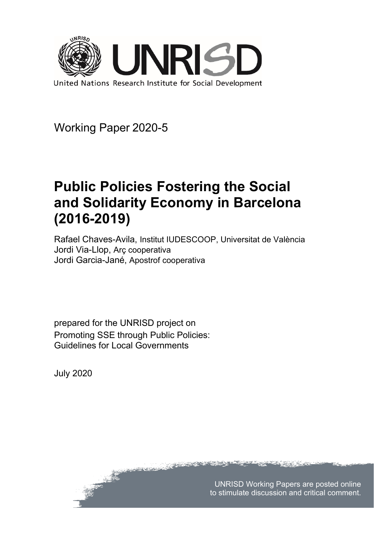

Working Paper 2020-5

# **Public Policies Fostering the Social and Solidarity Economy in Barcelona (2016-2019)**

Rafael Chaves-Avila, Institut IUDESCOOP, Universitat de València Jordi Via-Llop, Arç cooperativa Jordi Garcia-Jané, Apostrof cooperativa

**CONSTRUCTION** 

prepared for the UNRISD project on Promoting SSE through Public Policies: Guidelines for Local Governments

محافظته وجري

July 2020

UNRISD Working Papers are posted online to stimulate discussion and critical comment.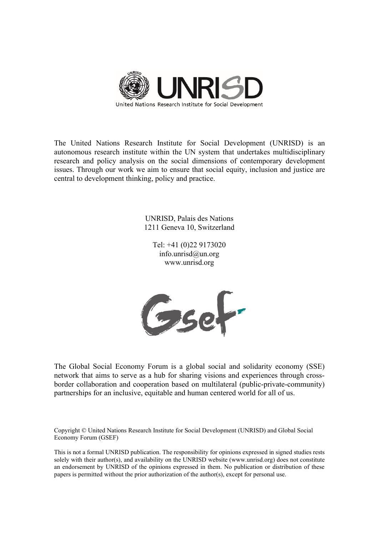

The United Nations Research Institute for Social Development (UNRISD) is an autonomous research institute within the UN system that undertakes multidisciplinary research and policy analysis on the social dimensions of contemporary development issues. Through our work we aim to ensure that social equity, inclusion and justice are central to development thinking, policy and practice.

> UNRISD, Palais des Nations 1211 Geneva 10, Switzerland

Tel: +41 (0)22 9173020 info.unrisd@un.org www.unrisd.org



The Global Social Economy Forum is a global social and solidarity economy (SSE) network that aims to serve as a hub for sharing visions and experiences through crossborder collaboration and cooperation based on multilateral (public-private-community) partnerships for an inclusive, equitable and human centered world for all of us.

Copyright © United Nations Research Institute for Social Development (UNRISD) and Global Social Economy Forum (GSEF)

This is not a formal UNRISD publication. The responsibility for opinions expressed in signed studies rests solely with their author(s), and availability on the UNRISD website (www.unrisd.org) does not constitute an endorsement by UNRISD of the opinions expressed in them. No publication or distribution of these papers is permitted without the prior authorization of the author(s), except for personal use.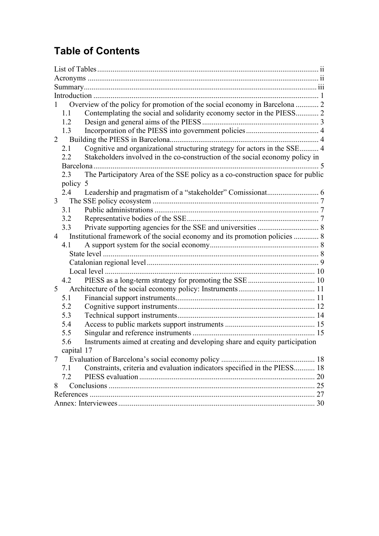# **Table of Contents**

| Overview of the policy for promotion of the social economy in Barcelona  2<br>Contemplating the social and solidarity economy sector in the PIESS 2<br>1.1<br>1.2<br>1.3<br>2<br>Cognitive and organizational structuring strategy for actors in the SSE 4<br>2.1<br>Stakeholders involved in the co-construction of the social economy policy in<br>2.2<br>The Participatory Area of the SSE policy as a co-construction space for public<br>2.3<br>policy 5<br>2.4<br>$\mathfrak{Z}$<br>3.1<br>3.2<br>3.3<br>Institutional framework of the social economy and its promotion policies  8<br>$\overline{4}$<br>4.1<br>4.2<br>5 <sup>1</sup><br>5.1<br>5.2<br>5.3<br>5.4<br>5.5<br>Instruments aimed at creating and developing share and equity participation<br>5.6<br>capital 17<br>Constraints, criteria and evaluation indicators specified in the PIESS 18<br>7.1<br>7.2<br>8 |  |
|-------------------------------------------------------------------------------------------------------------------------------------------------------------------------------------------------------------------------------------------------------------------------------------------------------------------------------------------------------------------------------------------------------------------------------------------------------------------------------------------------------------------------------------------------------------------------------------------------------------------------------------------------------------------------------------------------------------------------------------------------------------------------------------------------------------------------------------------------------------------------------------|--|
|                                                                                                                                                                                                                                                                                                                                                                                                                                                                                                                                                                                                                                                                                                                                                                                                                                                                                     |  |
|                                                                                                                                                                                                                                                                                                                                                                                                                                                                                                                                                                                                                                                                                                                                                                                                                                                                                     |  |
|                                                                                                                                                                                                                                                                                                                                                                                                                                                                                                                                                                                                                                                                                                                                                                                                                                                                                     |  |
|                                                                                                                                                                                                                                                                                                                                                                                                                                                                                                                                                                                                                                                                                                                                                                                                                                                                                     |  |
|                                                                                                                                                                                                                                                                                                                                                                                                                                                                                                                                                                                                                                                                                                                                                                                                                                                                                     |  |
|                                                                                                                                                                                                                                                                                                                                                                                                                                                                                                                                                                                                                                                                                                                                                                                                                                                                                     |  |
|                                                                                                                                                                                                                                                                                                                                                                                                                                                                                                                                                                                                                                                                                                                                                                                                                                                                                     |  |
|                                                                                                                                                                                                                                                                                                                                                                                                                                                                                                                                                                                                                                                                                                                                                                                                                                                                                     |  |
|                                                                                                                                                                                                                                                                                                                                                                                                                                                                                                                                                                                                                                                                                                                                                                                                                                                                                     |  |
|                                                                                                                                                                                                                                                                                                                                                                                                                                                                                                                                                                                                                                                                                                                                                                                                                                                                                     |  |
|                                                                                                                                                                                                                                                                                                                                                                                                                                                                                                                                                                                                                                                                                                                                                                                                                                                                                     |  |
|                                                                                                                                                                                                                                                                                                                                                                                                                                                                                                                                                                                                                                                                                                                                                                                                                                                                                     |  |
|                                                                                                                                                                                                                                                                                                                                                                                                                                                                                                                                                                                                                                                                                                                                                                                                                                                                                     |  |
|                                                                                                                                                                                                                                                                                                                                                                                                                                                                                                                                                                                                                                                                                                                                                                                                                                                                                     |  |
|                                                                                                                                                                                                                                                                                                                                                                                                                                                                                                                                                                                                                                                                                                                                                                                                                                                                                     |  |
|                                                                                                                                                                                                                                                                                                                                                                                                                                                                                                                                                                                                                                                                                                                                                                                                                                                                                     |  |
|                                                                                                                                                                                                                                                                                                                                                                                                                                                                                                                                                                                                                                                                                                                                                                                                                                                                                     |  |
|                                                                                                                                                                                                                                                                                                                                                                                                                                                                                                                                                                                                                                                                                                                                                                                                                                                                                     |  |
|                                                                                                                                                                                                                                                                                                                                                                                                                                                                                                                                                                                                                                                                                                                                                                                                                                                                                     |  |
|                                                                                                                                                                                                                                                                                                                                                                                                                                                                                                                                                                                                                                                                                                                                                                                                                                                                                     |  |
|                                                                                                                                                                                                                                                                                                                                                                                                                                                                                                                                                                                                                                                                                                                                                                                                                                                                                     |  |
|                                                                                                                                                                                                                                                                                                                                                                                                                                                                                                                                                                                                                                                                                                                                                                                                                                                                                     |  |
|                                                                                                                                                                                                                                                                                                                                                                                                                                                                                                                                                                                                                                                                                                                                                                                                                                                                                     |  |
|                                                                                                                                                                                                                                                                                                                                                                                                                                                                                                                                                                                                                                                                                                                                                                                                                                                                                     |  |
|                                                                                                                                                                                                                                                                                                                                                                                                                                                                                                                                                                                                                                                                                                                                                                                                                                                                                     |  |
|                                                                                                                                                                                                                                                                                                                                                                                                                                                                                                                                                                                                                                                                                                                                                                                                                                                                                     |  |
|                                                                                                                                                                                                                                                                                                                                                                                                                                                                                                                                                                                                                                                                                                                                                                                                                                                                                     |  |
|                                                                                                                                                                                                                                                                                                                                                                                                                                                                                                                                                                                                                                                                                                                                                                                                                                                                                     |  |
|                                                                                                                                                                                                                                                                                                                                                                                                                                                                                                                                                                                                                                                                                                                                                                                                                                                                                     |  |
|                                                                                                                                                                                                                                                                                                                                                                                                                                                                                                                                                                                                                                                                                                                                                                                                                                                                                     |  |
|                                                                                                                                                                                                                                                                                                                                                                                                                                                                                                                                                                                                                                                                                                                                                                                                                                                                                     |  |
|                                                                                                                                                                                                                                                                                                                                                                                                                                                                                                                                                                                                                                                                                                                                                                                                                                                                                     |  |
|                                                                                                                                                                                                                                                                                                                                                                                                                                                                                                                                                                                                                                                                                                                                                                                                                                                                                     |  |
|                                                                                                                                                                                                                                                                                                                                                                                                                                                                                                                                                                                                                                                                                                                                                                                                                                                                                     |  |
|                                                                                                                                                                                                                                                                                                                                                                                                                                                                                                                                                                                                                                                                                                                                                                                                                                                                                     |  |
|                                                                                                                                                                                                                                                                                                                                                                                                                                                                                                                                                                                                                                                                                                                                                                                                                                                                                     |  |
|                                                                                                                                                                                                                                                                                                                                                                                                                                                                                                                                                                                                                                                                                                                                                                                                                                                                                     |  |
|                                                                                                                                                                                                                                                                                                                                                                                                                                                                                                                                                                                                                                                                                                                                                                                                                                                                                     |  |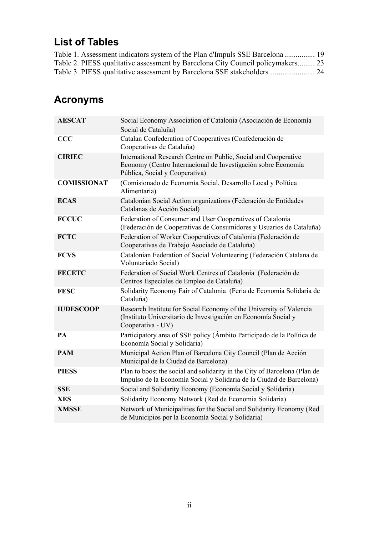# <span id="page-3-0"></span>**List of Tables**

| Table 1. Assessment indicators system of the Plan d'Impuls SSE Barcelona 19     |  |
|---------------------------------------------------------------------------------|--|
| Table 2. PIESS qualitative assessment by Barcelona City Council policymakers 23 |  |
|                                                                                 |  |

# <span id="page-3-1"></span>**Acronyms**

| <b>AESCAT</b>      | Social Economy Association of Catalonia (Asociación de Economía<br>Social de Cataluña)                                                                             |
|--------------------|--------------------------------------------------------------------------------------------------------------------------------------------------------------------|
| CCC                | Catalan Confederation of Cooperatives (Confederación de<br>Cooperativas de Cataluña)                                                                               |
| <b>CIRIEC</b>      | International Research Centre on Public, Social and Cooperative<br>Economy (Centro Internacional de Investigación sobre Economía<br>Pública, Social y Cooperativa) |
| <b>COMISSIONAT</b> | (Comisionado de Economía Social, Desarrollo Local y Política<br>Alimentaria)                                                                                       |
| <b>ECAS</b>        | Catalonian Social Action organizations (Federación de Entidades<br>Catalanas de Acción Social)                                                                     |
| <b>FCCUC</b>       | Federation of Consumer and User Cooperatives of Catalonia<br>(Federación de Cooperativas de Consumidores y Usuarios de Cataluña)                                   |
| <b>FCTC</b>        | Federation of Worker Cooperatives of Catalonia (Federación de<br>Cooperativas de Trabajo Asociado de Cataluña)                                                     |
| <b>FCVS</b>        | Catalonian Federation of Social Volunteering (Federación Catalana de<br>Voluntariado Social)                                                                       |
| <b>FECETC</b>      | Federation of Social Work Centres of Catalonia (Federación de<br>Centros Especiales de Empleo de Cataluña)                                                         |
| <b>FESC</b>        | Solidarity Economy Fair of Catalonia (Feria de Economia Solidaria de<br>Cataluña)                                                                                  |
| <b>IUDESCOOP</b>   | Research Institute for Social Economy of the University of Valencia<br>(Instituto Universitario de Investigación en Economía Social y<br>Cooperativa - UV)         |
| PA                 | Participatory area of SSE policy (Ambito Participado de la Política de<br>Economía Social y Solidaria)                                                             |
| <b>PAM</b>         | Municipal Action Plan of Barcelona City Council (Plan de Acción<br>Municipal de la Ciudad de Barcelona)                                                            |
| <b>PIESS</b>       | Plan to boost the social and solidarity in the City of Barcelona (Plan de<br>Impulso de la Economía Social y Solidaria de la Ciudad de Barcelona)                  |
| <b>SSE</b>         | Social and Solidarity Economy (Economía Social y Solidaria)                                                                                                        |
| <b>XES</b>         | Solidarity Economy Network (Red de Economia Solidaria)                                                                                                             |
| <b>XMSSE</b>       | Network of Municipalities for the Social and Solidarity Economy (Red<br>de Municipios por la Economía Social y Solidaria)                                          |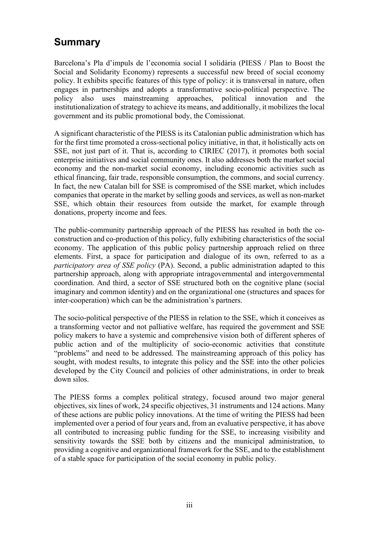# <span id="page-4-0"></span>**Summary**

Barcelona's Pla d'impuls de l'economia social I solidària (PIESS / Plan to Boost the Social and Solidarity Economy) represents a successful new breed of social economy policy. It exhibits specific features of this type of policy: it is transversal in nature, often engages in partnerships and adopts a transformative socio-political perspective. The policy also uses mainstreaming approaches, political innovation and the institutionalization of strategy to achieve its means, and additionally, it mobilizes the local government and its public promotional body, the Comissionat.

A significant characteristic of the PIESS is its Catalonian public administration which has for the first time promoted a cross-sectional policy initiative, in that, it holistically acts on SSE, not just part of it. That is, according to CIRIEC (2017), it promotes both social enterprise initiatives and social community ones. It also addresses both the market social economy and the non-market social economy, including economic activities such as ethical financing, fair trade, responsible consumption, the commons, and social currency. In fact, the new Catalan bill for SSE is compromised of the SSE market, which includes companies that operate in the market by selling goods and services, as well as non-market SSE, which obtain their resources from outside the market, for example through donations, property income and fees.

The public-community partnership approach of the PIESS has resulted in both the coconstruction and co-production of this policy, fully exhibiting characteristics of the social economy. The application of this public policy partnership approach relied on three elements. First, a space for participation and dialogue of its own, referred to as a *participatory area of SSE policy* (PA). Second, a public administration adapted to this partnership approach, along with appropriate intragovernmental and intergovernmental coordination. And third, a sector of SSE structured both on the cognitive plane (social imaginary and common identity) and on the organizational one (structures and spaces for inter-cooperation) which can be the administration's partners.

The socio-political perspective of the PIESS in relation to the SSE, which it conceives as a transforming vector and not palliative welfare, has required the government and SSE policy makers to have a systemic and comprehensive vision both of different spheres of public action and of the multiplicity of socio-economic activities that constitute "problems" and need to be addressed. The mainstreaming approach of this policy has sought, with modest results, to integrate this policy and the SSE into the other policies developed by the City Council and policies of other administrations, in order to break down silos.

The PIESS forms a complex political strategy, focused around two major general objectives, six lines of work, 24 specific objectives, 31 instruments and 124 actions. Many of these actions are public policy innovations. At the time of writing the PIESS had been implemented over a period of four years and, from an evaluative perspective, it has above all contributed to increasing public funding for the SSE, to increasing visibility and sensitivity towards the SSE both by citizens and the municipal administration, to providing a cognitive and organizational framework for the SSE, and to the establishment of a stable space for participation of the social economy in public policy.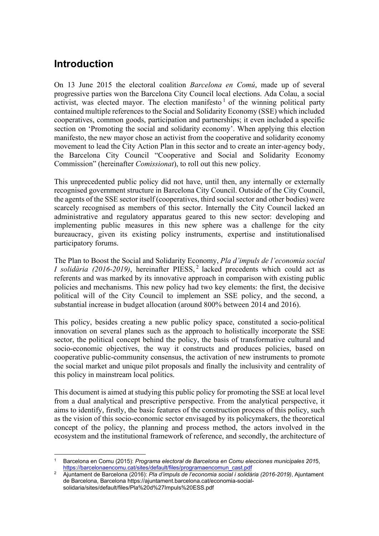# <span id="page-5-0"></span>**Introduction**

On 13 June 2015 the electoral coalition *Barcelona en Comú*, made up of several progressive parties won the Barcelona City Council local elections. Ada Colau, a social activist, was elected mayor. The election manifesto  $\frac{1}{1}$  $\frac{1}{1}$  $\frac{1}{1}$  of the winning political party contained multiple references to the Social and Solidarity Economy (SSE) which included cooperatives, common goods, participation and partnerships; it even included a specific section on 'Promoting the social and solidarity economy'. When applying this election manifesto, the new mayor chose an activist from the cooperative and solidarity economy movement to lead the City Action Plan in this sector and to create an inter-agency body, the Barcelona City Council "Cooperative and Social and Solidarity Economy Commission" (hereinafter *Comissionat*), to roll out this new policy.

This unprecedented public policy did not have, until then, any internally or externally recognised government structure in Barcelona City Council. Outside of the City Council, the agents of the SSE sector itself (cooperatives, third social sector and other bodies) were scarcely recognised as members of this sector. Internally the City Council lacked an administrative and regulatory apparatus geared to this new sector: developing and implementing public measures in this new sphere was a challenge for the city bureaucracy, given its existing policy instruments, expertise and institutionalised participatory forums.

The Plan to Boost the Social and Solidarity Economy, *Pla d'impuls de l'economia social I solidària (2016-2019)*, hereinafter PIESS, [2](#page-5-2) lacked precedents which could act as referents and was marked by its innovative approach in comparison with existing public policies and mechanisms. This new policy had two key elements: the first, the decisive political will of the City Council to implement an SSE policy, and the second, a substantial increase in budget allocation (around 800% between 2014 and 2016).

This policy, besides creating a new public policy space, constituted a socio-political innovation on several planes such as the approach to holistically incorporate the SSE sector, the political concept behind the policy, the basis of transformative cultural and socio-economic objectives, the way it constructs and produces policies, based on cooperative public-community consensus, the activation of new instruments to promote the social market and unique pilot proposals and finally the inclusivity and centrality of this policy in mainstream local politics.

This document is aimed at studying this public policy for promoting the SSE at local level from a dual analytical and prescriptive perspective. From the analytical perspective, it aims to identify, firstly, the basic features of the construction process of this policy, such as the vision of this socio-economic sector envisaged by its policymakers, the theoretical concept of the policy, the planning and process method, the actors involved in the ecosystem and the institutional framework of reference, and secondly, the architecture of

<span id="page-5-1"></span><sup>1</sup> Barcelona en Comu (2015): *Programa electoral de Barcelona en Comu elecciones municipales 201*5, [https://barcelonaencomu.cat/sites/default/files/programaencomun\\_cast.pdf](https://barcelonaencomu.cat/sites/default/files/programaencomun_cast.pdf)

<span id="page-5-2"></span><sup>2</sup> Ajuntament de Barcelona (2016): *Pla d'impuls de l'economia social i solidària (2016-2019)*, Ajuntament de Barcelona, Barcelona https://ajuntament.barcelona.cat/economia-socialsolidaria/sites/default/files/Pla%20d%27Impuls%20ESS.pdf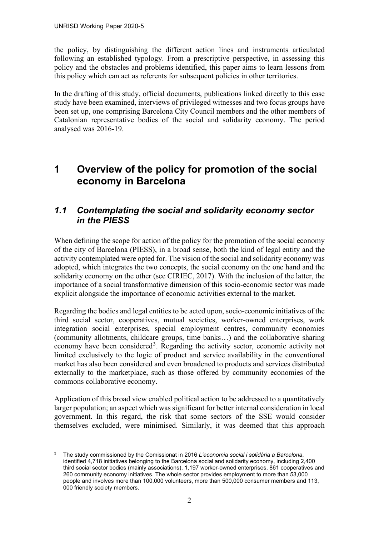the policy, by distinguishing the different action lines and instruments articulated following an established typology. From a prescriptive perspective, in assessing this policy and the obstacles and problems identified, this paper aims to learn lessons from this policy which can act as referents for subsequent policies in other territories.

In the drafting of this study, official documents, publications linked directly to this case study have been examined, interviews of privileged witnesses and two focus groups have been set up, one comprising Barcelona City Council members and the other members of Catalonian representative bodies of the social and solidarity economy. The period analysed was 2016-19.

# <span id="page-6-0"></span>**1 Overview of the policy for promotion of the social economy in Barcelona**

### <span id="page-6-1"></span>*1.1 Contemplating the social and solidarity economy sector in the PIESS*

When defining the scope for action of the policy for the promotion of the social economy of the city of Barcelona (PIESS), in a broad sense, both the kind of legal entity and the activity contemplated were opted for. The vision of the social and solidarity economy was adopted, which integrates the two concepts, the social economy on the one hand and the solidarity economy on the other (see CIRIEC, 2017). With the inclusion of the latter, the importance of a social transformative dimension of this socio-economic sector was made explicit alongside the importance of economic activities external to the market.

Regarding the bodies and legal entities to be acted upon, socio-economic initiatives of the third social sector, cooperatives, mutual societies, worker-owned enterprises, work integration social enterprises, special employment centres, community economies (community allotments, childcare groups, time banks…) and the collaborative sharing economy have been considered<sup>[3](#page-6-2)</sup>. Regarding the activity sector, economic activity not limited exclusively to the logic of product and service availability in the conventional market has also been considered and even broadened to products and services distributed externally to the marketplace, such as those offered by community economies of the commons collaborative economy.

Application of this broad view enabled political action to be addressed to a quantitatively larger population; an aspect which was significant for better internal consideration in local government. In this regard, the risk that some sectors of the SSE would consider themselves excluded, were minimised. Similarly, it was deemed that this approach

<span id="page-6-2"></span><sup>3</sup> The study commissioned by the Comissionat in 2016 *L'economia social i solidària a Barcelona*, identified 4,718 initiatives belonging to the Barcelona social and solidarity economy, including 2,400 third social sector bodies (mainly associations), 1,197 worker-owned enterprises, 861 cooperatives and 260 community economy initiatives. The whole sector provides employment to more than 53,000 people and involves more than 100,000 volunteers, more than 500,000 consumer members and 113, 000 friendly society members.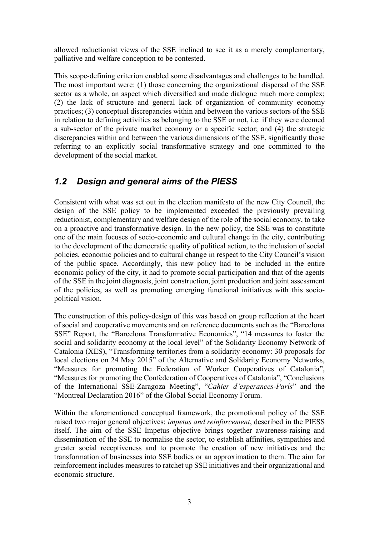allowed reductionist views of the SSE inclined to see it as a merely complementary, palliative and welfare conception to be contested.

This scope-defining criterion enabled some disadvantages and challenges to be handled. The most important were: (1) those concerning the organizational dispersal of the SSE sector as a whole, an aspect which diversified and made dialogue much more complex; (2) the lack of structure and general lack of organization of community economy practices; (3) conceptual discrepancies within and between the various sectors of the SSE in relation to defining activities as belonging to the SSE or not, i.e. if they were deemed a sub-sector of the private market economy or a specific sector; and (4) the strategic discrepancies within and between the various dimensions of the SSE, significantly those referring to an explicitly social transformative strategy and one committed to the development of the social market.

# <span id="page-7-0"></span>*1.2 Design and general aims of the PIESS*

Consistent with what was set out in the election manifesto of the new City Council, the design of the SSE policy to be implemented exceeded the previously prevailing reductionist, complementary and welfare design of the role of the social economy, to take on a proactive and transformative design. In the new policy, the SSE was to constitute one of the main focuses of socio-economic and cultural change in the city, contributing to the development of the democratic quality of political action, to the inclusion of social policies, economic policies and to cultural change in respect to the City Council's vision of the public space. Accordingly, this new policy had to be included in the entire economic policy of the city, it had to promote social participation and that of the agents of the SSE in the joint diagnosis, joint construction, joint production and joint assessment of the policies, as well as promoting emerging functional initiatives with this sociopolitical vision.

The construction of this policy-design of this was based on group reflection at the heart of social and cooperative movements and on reference documents such as the "Barcelona SSE" Report, the "Barcelona Transformative Economies", "14 measures to foster the social and solidarity economy at the local level" of the Solidarity Economy Network of Catalonia (XES), "Transforming territories from a solidarity economy: 30 proposals for local elections on 24 May 2015" of the Alternative and Solidarity Economy Networks, "Measures for promoting the Federation of Worker Cooperatives of Catalonia", "Measures for promoting the Confederation of Cooperatives of Catalonia", "Conclusions of the International SSE-Zaragoza Meeting", "*Cahier d'esperances-París*" and the "Montreal Declaration 2016" of the Global Social Economy Forum.

Within the aforementioned conceptual framework, the promotional policy of the SSE raised two major general objectives: *impetus and reinforcement*, described in the PIESS itself. The aim of the SSE Impetus objective brings together awareness-raising and dissemination of the SSE to normalise the sector, to establish affinities, sympathies and greater social receptiveness and to promote the creation of new initiatives and the transformation of businesses into SSE bodies or an approximation to them. The aim for reinforcement includes measures to ratchet up SSE initiatives and their organizational and economic structure.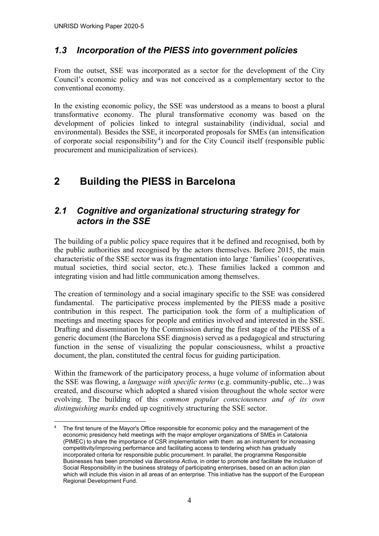### <span id="page-8-0"></span>*1.3 Incorporation of the PIESS into government policies*

From the outset, SSE was incorporated as a sector for the development of the City Council's economic policy and was not conceived as a complementary sector to the conventional economy*.*

In the existing economic policy, the SSE was understood as a means to boost a plural transformative economy. The plural transformative economy was based on the development of policies linked to integral sustainability (individual, social and environmental). Besides the SSE, it incorporated proposals for SMEs (an intensification of corporate social responsibility<sup>[4](#page-8-3)</sup>) and for the City Council itself (responsible public procurement and municipalization of services).

# <span id="page-8-1"></span>**2 Building the PIESS in Barcelona**

### <span id="page-8-2"></span>*2.1 Cognitive and organizational structuring strategy for actors in the SSE*

The building of a public policy space requires that it be defined and recognised, both by the public authorities and recognised by the actors themselves. Before 2015, the main characteristic of the SSE sector was its fragmentation into large 'families' (cooperatives, mutual societies, third social sector, etc.). These families lacked a common and integrating vision and had little communication among themselves.

The creation of terminology and a social imaginary specific to the SSE was considered fundamental. The participative process implemented by the PIESS made a positive contribution in this respect. The participation took the form of a multiplication of meetings and meeting spaces for people and entities involved and interested in the SSE. Drafting and dissemination by the Commission during the first stage of the PIESS of a generic document (the Barcelona SSE diagnosis) served as a pedagogical and structuring function in the sense of visualizing the popular consciousness, whilst a proactive document, the plan, constituted the central focus for guiding participation.

Within the framework of the participatory process, a huge volume of information about the SSE was flowing, a *language with specific terms* (e.g. community-public, etc...) was created, and discourse which adopted a shared vision throughout the whole sector were evolving. The building of this *common popular consciousness and of its own distinguishing marks* ended up cognitively structuring the SSE sector.

<span id="page-8-3"></span>The first tenure of the Mayor's Office responsible for economic policy and the management of the economic presidency held meetings with the major employer organizations of SMEs in Catalonia (PIMEC) to share the importance of CSR implementation with them as an instrument for increasing competitivity/improving performance and facilitating access to tendering which has gradually incorporated criteria for responsible public procurement. In parallel, the programme Responsible Businesses has been promoted via *Barcelona Activa,* in order to promote and facilitate the inclusion of Social Responsibility in the business strategy of participating enterprises, based on an action plan which will include this vision in all areas of an enterprise. This initiative has the support of the European Regional Development Fund.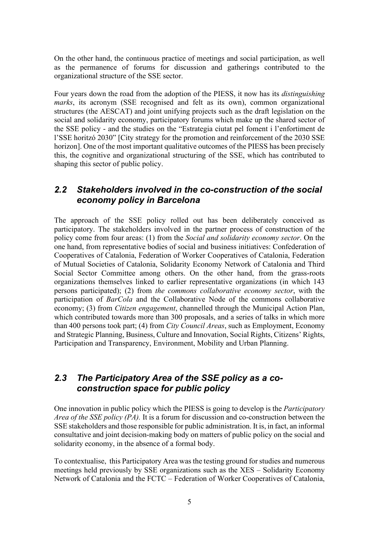On the other hand, the continuous practice of meetings and social participation, as well as the permanence of forums for discussion and gatherings contributed to the organizational structure of the SSE sector.

Four years down the road from the adoption of the PIESS, it now has its *distinguishing marks*, its acronym (SSE recognised and felt as its own), common organizational structures (the AESCAT) and joint unifying projects such as the draft legislation on the social and solidarity economy, participatory forums which make up the shared sector of the SSE policy - and the studies on the "Estrategia ciutat pel foment i l'enfortiment de l'SSE horitzó 2030" [City strategy for the promotion and reinforcement of the 2030 SSE horizon]. One of the most important qualitative outcomes of the PIESS has been precisely this, the cognitive and organizational structuring of the SSE, which has contributed to shaping this sector of public policy.

### <span id="page-9-0"></span>*2.2 Stakeholders involved in the co-construction of the social economy policy in Barcelona*

The approach of the SSE policy rolled out has been deliberately conceived as participatory. The stakeholders involved in the partner process of construction of the policy come from four areas: (1) from the *Social and solidarity economy sector*. On the one hand, from representative bodies of social and business initiatives: Confederation of Cooperatives of Catalonia, Federation of Worker Cooperatives of Catalonia, Federation of Mutual Societies of Catalonia, Solidarity Economy Network of Catalonia and Third Social Sector Committee among others. On the other hand, from the grass-roots organizations themselves linked to earlier representative organizations (in which 143 persons participated); (2) from *the commons collaborative economy sector*, with the participation of *BarCola* and the Collaborative Node of the commons collaborative economy; (3) from *Citizen engagement*, channelled through the Municipal Action Plan, which contributed towards more than 300 proposals, and a series of talks in which more than 400 persons took part; (4) from *City Council Areas*, such as Employment, Economy and Strategic Planning, Business, Culture and Innovation, Social Rights, Citizens' Rights, Participation and Transparency, Environment, Mobility and Urban Planning.

### <span id="page-9-1"></span>*2.3 The Participatory Area of the SSE policy as a coconstruction space for public policy*

One innovation in public policy which the PIESS is going to develop is the *Participatory Area of the SSE policy (PA).* It is a forum for discussion and co-construction between the SSE stakeholders and those responsible for public administration. It is, in fact, an informal consultative and joint decision-making body on matters of public policy on the social and solidarity economy, in the absence of a formal body.

To contextualise, this Participatory Area was the testing ground for studies and numerous meetings held previously by SSE organizations such as the XES – Solidarity Economy Network of Catalonia and the FCTC – Federation of Worker Cooperatives of Catalonia,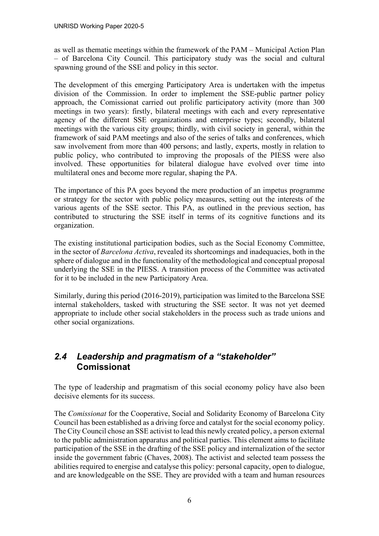as well as thematic meetings within the framework of the PAM – Municipal Action Plan – of Barcelona City Council. This participatory study was the social and cultural spawning ground of the SSE and policy in this sector.

The development of this emerging Participatory Area is undertaken with the impetus division of the Commission. In order to implement the SSE-public partner policy approach, the Comissionat carried out prolific participatory activity (more than 300 meetings in two years): firstly, bilateral meetings with each and every representative agency of the different SSE organizations and enterprise types; secondly, bilateral meetings with the various city groups; thirdly, with civil society in general, within the framework of said PAM meetings and also of the series of talks and conferences, which saw involvement from more than 400 persons; and lastly, experts, mostly in relation to public policy, who contributed to improving the proposals of the PIESS were also involved. These opportunities for bilateral dialogue have evolved over time into multilateral ones and become more regular, shaping the PA.

The importance of this PA goes beyond the mere production of an impetus programme or strategy for the sector with public policy measures, setting out the interests of the various agents of the SSE sector. This PA, as outlined in the previous section, has contributed to structuring the SSE itself in terms of its cognitive functions and its organization.

The existing institutional participation bodies, such as the Social Economy Committee, in the sector of *Barcelona Activa*, revealed its shortcomings and inadequacies, both in the sphere of dialogue and in the functionality of the methodological and conceptual proposal underlying the SSE in the PIESS. A transition process of the Committee was activated for it to be included in the new Participatory Area.

Similarly, during this period (2016-2019), participation was limited to the Barcelona SSE internal stakeholders, tasked with structuring the SSE sector. It was not yet deemed appropriate to include other social stakeholders in the process such as trade unions and other social organizations.

### <span id="page-10-0"></span>*2.4 Leadership and pragmatism of a "stakeholder"* **Comissionat**

The type of leadership and pragmatism of this social economy policy have also been decisive elements for its success.

The *Comissionat* for the Cooperative, Social and Solidarity Economy of Barcelona City Council has been established as a driving force and catalyst for the social economy policy. The City Council chose an SSE activist to lead this newly created policy, a person external to the public administration apparatus and political parties. This element aims to facilitate participation of the SSE in the drafting of the SSE policy and internalization of the sector inside the government fabric (Chaves, 2008). The activist and selected team possess the abilities required to energise and catalyse this policy: personal capacity, open to dialogue, and are knowledgeable on the SSE. They are provided with a team and human resources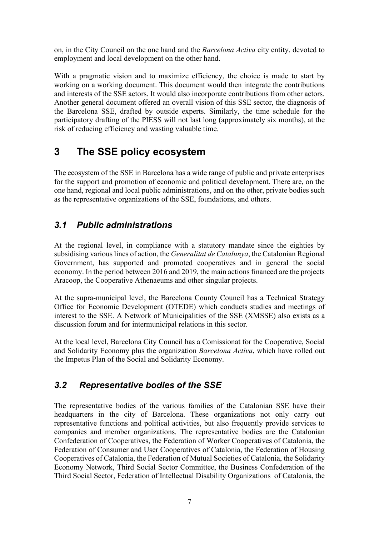on, in the City Council on the one hand and the *Barcelona Activa* city entity, devoted to employment and local development on the other hand.

With a pragmatic vision and to maximize efficiency, the choice is made to start by working on a working document. This document would then integrate the contributions and interests of the SSE actors. It would also incorporate contributions from other actors. Another general document offered an overall vision of this SSE sector, the diagnosis of the Barcelona SSE, drafted by outside experts. Similarly, the time schedule for the participatory drafting of the PIESS will not last long (approximately six months), at the risk of reducing efficiency and wasting valuable time.

# <span id="page-11-0"></span>**3 The SSE policy ecosystem**

The ecosystem of the SSE in Barcelona has a wide range of public and private enterprises for the support and promotion of economic and political development. There are, on the one hand, regional and local public administrations, and on the other, private bodies such as the representative organizations of the SSE, foundations, and others.

# <span id="page-11-1"></span>*3.1 Public administrations*

At the regional level, in compliance with a statutory mandate since the eighties by subsidising various lines of action, the *Generalitat de Catalunya*, the Catalonian Regional Government, has supported and promoted cooperatives and in general the social economy. In the period between 2016 and 2019, the main actions financed are the projects Aracoop, the Cooperative Athenaeums and other singular projects.

At the supra-municipal level, the Barcelona County Council has a Technical Strategy Office for Economic Development (OTEDE) which conducts studies and meetings of interest to the SSE. A Network of Municipalities of the SSE (XMSSE) also exists as a discussion forum and for intermunicipal relations in this sector.

At the local level, Barcelona City Council has a Comissionat for the Cooperative, Social and Solidarity Economy plus the organization *Barcelona Activa*, which have rolled out the Impetus Plan of the Social and Solidarity Economy.

# <span id="page-11-2"></span>*3.2 Representative bodies of the SSE*

The representative bodies of the various families of the Catalonian SSE have their headquarters in the city of Barcelona. These organizations not only carry out representative functions and political activities, but also frequently provide services to companies and member organizations. The representative bodies are the Catalonian Confederation of Cooperatives, the Federation of Worker Cooperatives of Catalonia, the Federation of Consumer and User Cooperatives of Catalonia, the Federation of Housing Cooperatives of Catalonia, the Federation of Mutual Societies of Catalonia, the Solidarity Economy Network, Third Social Sector Committee, the Business Confederation of the Third Social Sector, Federation of Intellectual Disability Organizations of Catalonia, the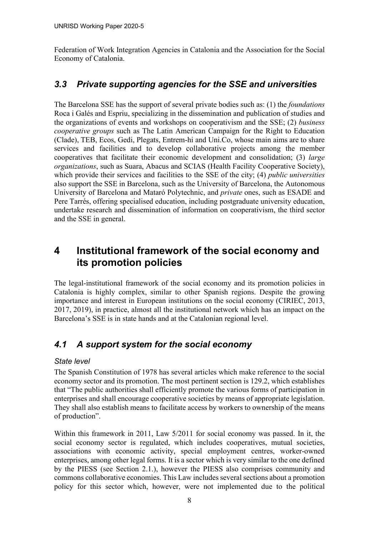Federation of Work Integration Agencies in Catalonia and the Association for the Social Economy of Catalonia.

### <span id="page-12-0"></span>*3.3 Private supporting agencies for the SSE and universities*

The Barcelona SSE has the support of several private bodies such as: (1) the *foundations* Roca i Galés and Espriu, specializing in the dissemination and publication of studies and the organizations of events and workshops on cooperativism and the SSE; (2) *business cooperative groups* such as The Latin American Campaign for the Right to Education (Clade), TEB, Ecos, Gedi, Plegats, Entrem-hi and Uni.Co, whose main aims are to share services and facilities and to develop collaborative projects among the member cooperatives that facilitate their economic development and consolidation; (3) *large organizations*, such as Suara, Abacus and SCIAS (Health Facility Cooperative Society), which provide their services and facilities to the SSE of the city; (4) *public universities* also support the SSE in Barcelona, such as the University of Barcelona, the Autonomous University of Barcelona and Mataró Polytechnic, and *private* ones, such as ESADE and Pere Tarrés, offering specialised education, including postgraduate university education, undertake research and dissemination of information on cooperativism, the third sector and the SSE in general.

# <span id="page-12-1"></span>**4 Institutional framework of the social economy and its promotion policies**

The legal-institutional framework of the social economy and its promotion policies in Catalonia is highly complex, similar to other Spanish regions. Despite the growing importance and interest in European institutions on the social economy (CIRIEC, 2013, 2017, 2019), in practice, almost all the institutional network which has an impact on the Barcelona's SSE is in state hands and at the Catalonian regional level.

### <span id="page-12-2"></span>*4.1 A support system for the social economy*

#### <span id="page-12-3"></span>*State level*

The Spanish Constitution of 1978 has several articles which make reference to the social economy sector and its promotion. The most pertinent section is 129.2, which establishes that "The public authorities shall efficiently promote the various forms of participation in enterprises and shall encourage cooperative societies by means of appropriate legislation. They shall also establish means to facilitate access by workers to ownership of the means of production".

Within this framework in 2011, Law 5/2011 for social economy was passed. In it, the social economy sector is regulated, which includes cooperatives, mutual societies, associations with economic activity, special employment centres, worker-owned enterprises, among other legal forms. It is a sector which is very similar to the one defined by the PIESS (see Section 2.1.), however the PIESS also comprises community and commons collaborative economies. This Law includes several sections about a promotion policy for this sector which, however, were not implemented due to the political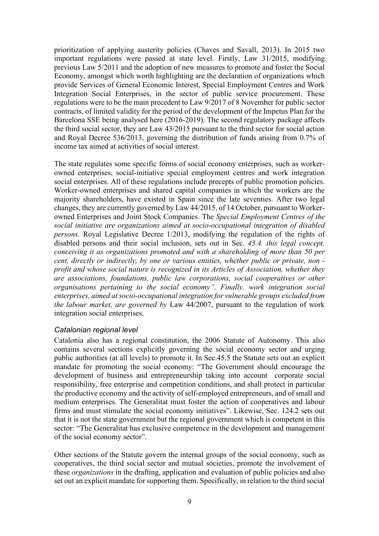prioritization of applying austerity policies (Chaves and Savall, 2013). In 2015 two important regulations were passed at state level. Firstly, Law 31/2015, modifying previous Law 5/2011 and the adoption of new measures to promote and foster the Social Economy, amongst which worth highlighting are the declaration of organizations which provide Services of General Economic Interest, Special Employment Centres and Work Integration Social Enterprises, in the sector of public service procurement. These regulations were to be the main precedent to Law 9/2017 of 8 November for public sector contracts, of limited validity for the period of the development of the Impetus Plan for the Barcelona SSE being analysed here (2016-2019). The second regulatory package affects the third social sector, they are Law 43/2015 pursuant to the third sector for social action and Royal Decree 536/2013, governing the distribution of funds arising from 0.7% of income tax aimed at activities of social interest.

The state regulates some specific forms of social economy enterprises, such as workerowned enterprises, social-initiative special employment centres and work integration social enterprises. All of these regulations include precepts of public promotion policies. Worker-owned enterprises and shared capital companies in which the workers are the majority shareholders, have existed in Spain since the late seventies. After two legal changes, they are currently governed by Law 44/2015, of 14 October, pursuant to Workerowned Enterprises and Joint Stock Companies. The *Special Employment Centres of the social initiative are organizations aimed at socio-occupational integration of disabled persons.* Royal Legislative Decree 1/2013, modifying the regulation of the rights of disabled persons and their social inclusion, sets out in Sec. *43.4. this legal concept, conceiving it as organizations promoted and with a shareholding of more than 50 per cent, directly or indirectly, by one or various entities, whether public or private, non profit and whose social nature is recognized in its Articles of Association, whether they are associations, foundations, public law corporations, social cooperatives or other organisations pertaining to the social economy". Finally, work integration social enterprises, aimed at socio-occupational integration for vulnerable groups excluded from the labour market, are governed by* Law 44/2007, pursuant to the regulation of work integration social enterprises.

#### <span id="page-13-0"></span>*Catalonian regional level*

Catalonia also has a regional constitution, the 2006 Statute of Autonomy. This also contains several sections explicitly governing the social economy sector and urging public authorities (at all levels) to promote it. In Sec.45.5 the Statute sets out an explicit mandate for promoting the social economy: "The Government should encourage the development of business and entrepreneurship taking into account corporate social responsibility, free enterprise and competition conditions, and shall protect in particular the productive economy and the activity of self-employed entrepreneurs, and of small and medium enterprises. The Generalitat must foster the action of cooperatives and labour firms and must stimulate the social economy initiatives". Likewise, Sec. 124.2 sets out that it is not the state government but the regional government which is competent in this sector: "The Generalitat has exclusive competence in the development and management of the social economy sector".

Other sections of the Statute govern the internal groups of the social economy, such as cooperatives, the third social sector and mutual societies, promote the involvement of these *organizations* in the drafting, application and evaluation of public policies and also set out an explicit mandate for supporting them. Specifically, in relation to the third social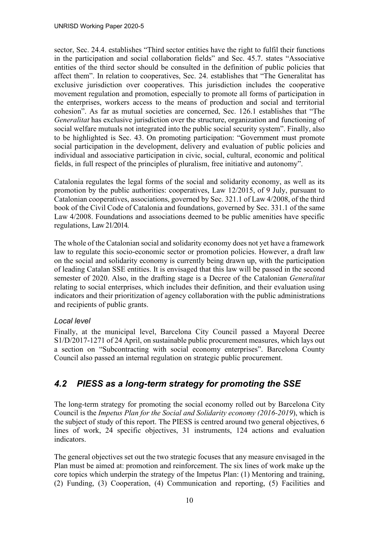sector, Sec. 24.4. establishes "Third sector entities have the right to fulfil their functions in the participation and social collaboration fields" and Sec. 45.7. states "Associative entities of the third sector should be consulted in the definition of public policies that affect them". In relation to cooperatives, Sec. 24. establishes that "The Generalitat has exclusive jurisdiction over cooperatives. This jurisdiction includes the cooperative movement regulation and promotion, especially to promote all forms of participation in the enterprises, workers access to the means of production and social and territorial cohesion". As far as mutual societies are concerned, Sec. 126.1 establishes that "The *Generalitat* has exclusive jurisdiction over the structure, organization and functioning of social welfare mutuals not integrated into the public social security system". Finally, also to be highlighted is Sec. 43. On promoting participation: "Government must promote social participation in the development, delivery and evaluation of public policies and individual and associative participation in civic, social, cultural, economic and political fields, in full respect of the principles of pluralism, free initiative and autonomy".

Catalonia regulates the legal forms of the social and solidarity economy, as well as its promotion by the public authorities: cooperatives, Law 12/2015, of 9 July, pursuant to Catalonian cooperatives, associations, governed by Sec. 321.1 of Law 4/2008, of the third book of the Civil Code of Catalonia and foundations, governed by Sec. 331.1 of the same Law 4/2008. Foundations and associations deemed to be public amenities have specific regulations, Law 21/2014.

The whole of the Catalonian social and solidarity economy does not yet have a framework law to regulate this socio-economic sector or promotion policies. However, a draft law on the social and solidarity economy is currently being drawn up, with the participation of leading Catalan SSE entities. It is envisaged that this law will be passed in the second semester of 2020. Also, in the drafting stage is a Decree of the Catalonian *Generalitat* relating to social enterprises, which includes their definition, and their evaluation using indicators and their prioritization of agency collaboration with the public administrations and recipients of public grants.

#### <span id="page-14-0"></span>*Local level*

Finally, at the municipal level, Barcelona City Council passed a Mayoral Decree S1/D/2017-1271 of 24 April, on sustainable public procurement measures, which lays out a section on "Subcontracting with social economy enterprises". Barcelona County Council also passed an internal regulation on strategic public procurement.

# <span id="page-14-1"></span>*4.2 PIESS as a long-term strategy for promoting the SSE*

The long-term strategy for promoting the social economy rolled out by Barcelona City Council is the *Impetus Plan for the Social and Solidarity economy (2016-2019*), which is the subject of study of this report. The PIESS is centred around two general objectives, 6 lines of work, 24 specific objectives, 31 instruments, 124 actions and evaluation indicators.

The general objectives set out the two strategic focuses that any measure envisaged in the Plan must be aimed at: promotion and reinforcement. The six lines of work make up the core topics which underpin the strategy of the Impetus Plan: (1) Mentoring and training, (2) Funding, (3) Cooperation, (4) Communication and reporting, (5) Facilities and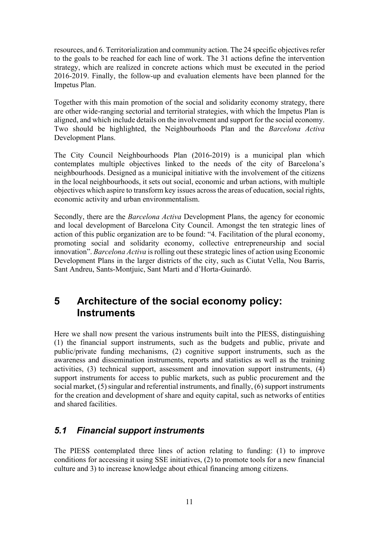resources, and 6. Territorialization and community action. The 24 specific objectives refer to the goals to be reached for each line of work. The 31 actions define the intervention strategy, which are realized in concrete actions which must be executed in the period 2016-2019. Finally, the follow-up and evaluation elements have been planned for the Impetus Plan.

Together with this main promotion of the social and solidarity economy strategy, there are other wide-ranging sectorial and territorial strategies, with which the Impetus Plan is aligned, and which include details on the involvement and support for the social economy. Two should be highlighted, the Neighbourhoods Plan and the *Barcelona Activa* Development Plans.

The City Council Neighbourhoods Plan (2016-2019) is a municipal plan which contemplates multiple objectives linked to the needs of the city of Barcelona's neighbourhoods. Designed as a municipal initiative with the involvement of the citizens in the local neighbourhoods, it sets out social, economic and urban actions, with multiple objectives which aspire to transform key issues acrossthe areas of education, social rights, economic activity and urban environmentalism.

Secondly, there are the *Barcelona Activa* Development Plans, the agency for economic and local development of Barcelona City Council. Amongst the ten strategic lines of action of this public organization are to be found: "4. Facilitation of the plural economy, promoting social and solidarity economy, collective entrepreneurship and social innovation". *Barcelona Activa* is rolling out these strategic lines of action using Economic Development Plans in the larger districts of the city, such as Ciutat Vella, Nou Barris, Sant Andreu, Sants-Montjuic, Sant Marti and d'Horta-Guinardó.

# <span id="page-15-0"></span>**5 Architecture of the social economy policy: Instruments**

Here we shall now present the various instruments built into the PIESS, distinguishing (1) the financial support instruments, such as the budgets and public, private and public/private funding mechanisms, (2) cognitive support instruments, such as the awareness and dissemination instruments, reports and statistics as well as the training activities, (3) technical support, assessment and innovation support instruments, (4) support instruments for access to public markets, such as public procurement and the social market, (5) singular and referential instruments, and finally, (6) support instruments for the creation and development of share and equity capital, such as networks of entities and shared facilities.

# <span id="page-15-1"></span>*5.1 Financial support instruments*

The PIESS contemplated three lines of action relating to funding: (1) to improve conditions for accessing it using SSE initiatives, (2) to promote tools for a new financial culture and 3) to increase knowledge about ethical financing among citizens.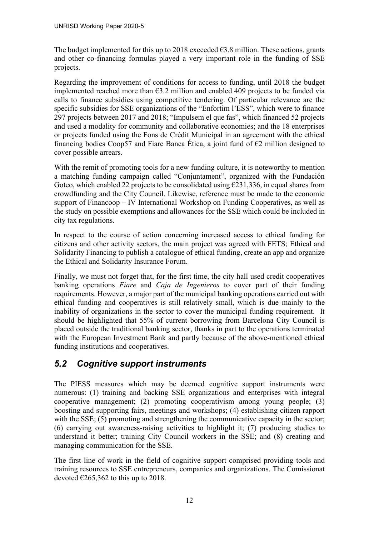The budget implemented for this up to 2018 exceeded  $\epsilon$ 3.8 million. These actions, grants and other co-financing formulas played a very important role in the funding of SSE projects.

Regarding the improvement of conditions for access to funding, until 2018 the budget implemented reached more than  $63.2$  million and enabled 409 projects to be funded via calls to finance subsidies using competitive tendering. Of particular relevance are the specific subsidies for SSE organizations of the "Enfortim l'ESS", which were to finance 297 projects between 2017 and 2018; "Impulsem el que fas", which financed 52 projects and used a modality for community and collaborative economies; and the 18 enterprises or projects funded using the Fons de Crèdit Municipal in an agreement with the ethical financing bodies Coop57 and Fiare Banca Ética, a joint fund of  $\epsilon$ 2 million designed to cover possible arrears.

With the remit of promoting tools for a new funding culture, it is noteworthy to mention a matching funding campaign called "Conjuntament", organized with the Fundación Goteo, which enabled 22 projects to be consolidated using  $\epsilon$ 231,336, in equal shares from crowdfunding and the City Council. Likewise, reference must be made to the economic support of Financoop – IV International Workshop on Funding Cooperatives, as well as the study on possible exemptions and allowances for the SSE which could be included in city tax regulations.

In respect to the course of action concerning increased access to ethical funding for citizens and other activity sectors, the main project was agreed with FETS; Ethical and Solidarity Financing to publish a catalogue of ethical funding, create an app and organize the Ethical and Solidarity Insurance Forum.

Finally, we must not forget that, for the first time, the city hall used credit cooperatives banking operations *Fiare* and *Caja de Ingenieros* to cover part of their funding requirements. However, a major part of the municipal banking operations carried out with ethical funding and cooperatives is still relatively small, which is due mainly to the inability of organizations in the sector to cover the municipal funding requirement. It should be highlighted that 55% of current borrowing from Barcelona City Council is placed outside the traditional banking sector, thanks in part to the operations terminated with the European Investment Bank and partly because of the above-mentioned ethical funding institutions and cooperatives.

# <span id="page-16-0"></span>*5.2 Cognitive support instruments*

The PIESS measures which may be deemed cognitive support instruments were numerous: (1) training and backing SSE organizations and enterprises with integral cooperative management; (2) promoting cooperativism among young people; (3) boosting and supporting fairs, meetings and workshops; (4) establishing citizen rapport with the SSE; (5) promoting and strengthening the communicative capacity in the sector; (6) carrying out awareness-raising activities to highlight it; (7) producing studies to understand it better; training City Council workers in the SSE; and (8) creating and managing communication for the SSE.

The first line of work in the field of cognitive support comprised providing tools and training resources to SSE entrepreneurs, companies and organizations. The Comissionat devoted  $\epsilon$ 265,362 to this up to 2018.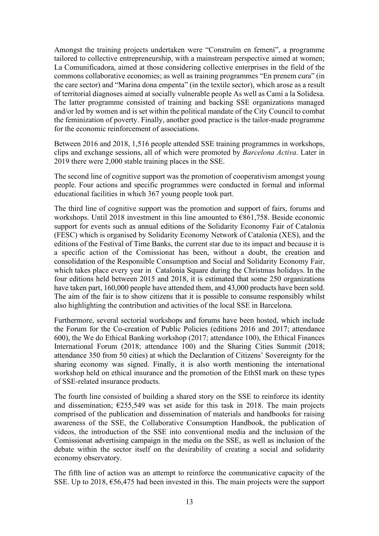Amongst the training projects undertaken were "Construïm en femení", a programme tailored to collective entrepreneurship, with a mainstream perspective aimed at women; La Comunificadora, aimed at those considering collective enterprises in the field of the commons collaborative economies; as well as training programmes "En prenem cura" (in the care sector) and "Marina dona empenta" (in the textile sector), which arose as a result of territorial diagnoses aimed at socially vulnerable people As well as Camí a la Solidesa. The latter programme consisted of training and backing SSE organizations managed and/or led by women and is set within the political mandate of the City Council to combat the feminization of poverty. Finally, another good practice is the tailor-made programme for the economic reinforcement of associations.

Between 2016 and 2018, 1,516 people attended SSE training programmes in workshops, clips and exchange sessions, all of which were promoted by *Barcelona Activa*. Later in 2019 there were 2,000 stable training places in the SSE.

The second line of cognitive support was the promotion of cooperativism amongst young people. Four actions and specific programmes were conducted in formal and informal educational facilities in which 367 young people took part.

The third line of cognitive support was the promotion and support of fairs, forums and workshops. Until 2018 investment in this line amounted to €861,758. Beside economic support for events such as annual editions of the Solidarity Economy Fair of Catalonia (FESC) which is organised by Solidarity Economy Network of Catalonia (XES), and the editions of the Festival of Time Banks, the current star due to its impact and because it is a specific action of the Comissionat has been, without a doubt, the creation and consolidation of the Responsible Consumption and Social and Solidarity Economy Fair, which takes place every year in Catalonia Square during the Christmas holidays. In the four editions held between 2015 and 2018, it is estimated that some 250 organizations have taken part, 160,000 people have attended them, and 43,000 products have been sold. The aim of the fair is to show citizens that it is possible to consume responsibly whilst also highlighting the contribution and activities of the local SSE in Barcelona.

Furthermore, several sectorial workshops and forums have been hosted, which include the Forum for the Co-creation of Public Policies (editions 2016 and 2017; attendance 600), the We do Ethical Banking workshop (2017; attendance 100), the Ethical Finances International Forum (2018; attendance 100) and the Sharing Cities Summit (2018; attendance 350 from 50 cities) at which the Declaration of Citizens' Sovereignty for the sharing economy was signed. Finally, it is also worth mentioning the international workshop held on ethical insurance and the promotion of the EthSI mark on these types of SSE-related insurance products.

The fourth line consisted of building a shared story on the SSE to reinforce its identity and dissemination;  $\epsilon$ 255,549 was set aside for this task in 2018. The main projects comprised of the publication and dissemination of materials and handbooks for raising awareness of the SSE, the Collaborative Consumption Handbook, the publication of videos, the introduction of the SSE into conventional media and the inclusion of the Comissionat advertising campaign in the media on the SSE, as well as inclusion of the debate within the sector itself on the desirability of creating a social and solidarity economy observatory.

The fifth line of action was an attempt to reinforce the communicative capacity of the SSE. Up to 2018,  $\epsilon$ 56,475 had been invested in this. The main projects were the support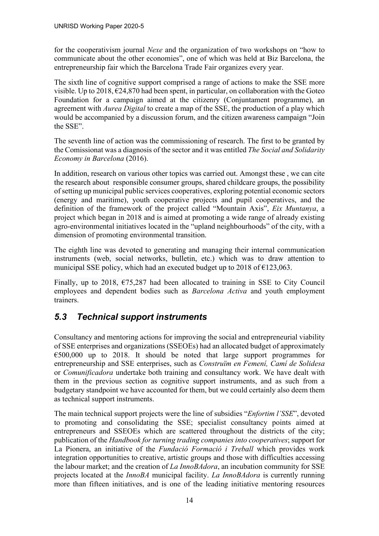for the cooperativism journal *Nexe* and the organization of two workshops on "how to communicate about the other economies", one of which was held at Biz Barcelona, the entrepreneurship fair which the Barcelona Trade Fair organizes every year.

The sixth line of cognitive support comprised a range of actions to make the SSE more visible. Up to 2018,  $\epsilon$ 24,870 had been spent, in particular, on collaboration with the Goteo Foundation for a campaign aimed at the citizenry (Conjuntament programme), an agreement with *Aurea Digital* to create a map of the SSE, the production of a play which would be accompanied by a discussion forum, and the citizen awareness campaign "Join the SSE".

The seventh line of action was the commissioning of research. The first to be granted by the Comissionat was a diagnosis of the sector and it was entitled *The Social and Solidarity Economy in Barcelona* (2016).

In addition, research on various other topics was carried out. Amongst these , we can cite the research about responsible consumer groups, shared childcare groups, the possibility of setting up municipal public services cooperatives, exploring potential economic sectors (energy and maritime), youth cooperative projects and pupil cooperatives, and the definition of the framework of the project called "Mountain Axis", *Eix Muntanya*, a project which began in 2018 and is aimed at promoting a wide range of already existing agro-environmental initiatives located in the "upland neighbourhoods" of the city, with a dimension of promoting environmental transition.

The eighth line was devoted to generating and managing their internal communication instruments (web, social networks, bulletin, etc.) which was to draw attention to municipal SSE policy, which had an executed budget up to 2018 of  $\epsilon$ 123,063.

Finally, up to 2018,  $\epsilon$ 75,287 had been allocated to training in SSE to City Council employees and dependent bodies such as *Barcelona Activa* and youth employment trainers.

# <span id="page-18-0"></span>*5.3 Technical support instruments*

Consultancy and mentoring actions for improving the social and entrepreneurial viability of SSE enterprises and organizations (SSEOEs) had an allocated budget of approximately  $\epsilon$ 500,000 up to 2018. It should be noted that large support programmes for entrepreneurship and SSE enterprises, such as *Construïm en Femení, Camí de Solidesa* or *Comunificadora* undertake both training and consultancy work. We have dealt with them in the previous section as cognitive support instruments, and as such from a budgetary standpoint we have accounted for them, but we could certainly also deem them as technical support instruments.

The main technical support projects were the line of subsidies "*Enfortim l'SSE*", devoted to promoting and consolidating the SSE; specialist consultancy points aimed at entrepreneurs and SSEOEs which are scattered throughout the districts of the city; publication of the *Handbook for turning trading companies into cooperatives*; support for La Pionera, an initiative of the *Fundació Formació i Treball* which provides work integration opportunities to creative, artistic groups and those with difficulties accessing the labour market; and the creation of *La InnoBAdora*, an incubation community for SSE projects located at the *InnoBA* municipal facility. *La InnoBAdora* is currently running more than fifteen initiatives, and is one of the leading initiative mentoring resources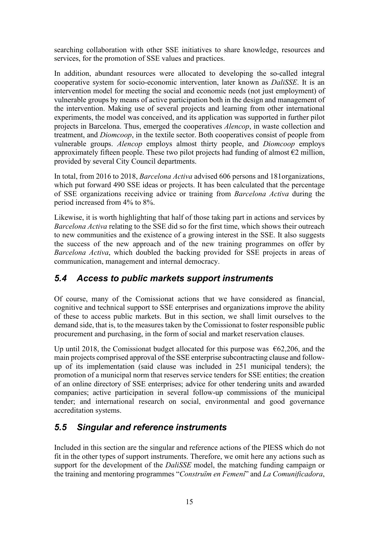searching collaboration with other SSE initiatives to share knowledge, resources and services, for the promotion of SSE values and practices.

In addition, abundant resources were allocated to developing the so-called integral cooperative system for socio-economic intervention, later known as *DaliSSE*. It is an intervention model for meeting the social and economic needs (not just employment) of vulnerable groups by means of active participation both in the design and management of the intervention. Making use of several projects and learning from other international experiments, the model was conceived, and its application was supported in further pilot projects in Barcelona. Thus, emerged the cooperatives *Alencop*, in waste collection and treatment, and *Diomcoop*, in the textile sector. Both cooperatives consist of people from vulnerable groups. *Alencop* employs almost thirty people, and *Diomcoop* employs approximately fifteen people. These two pilot projects had funding of almost  $\epsilon$ 2 million, provided by several City Council departments.

In total, from 2016 to 2018, *Barcelona Activa* advised 606 persons and 181organizations, which put forward 490 SSE ideas or projects. It has been calculated that the percentage of SSE organizations receiving advice or training from *Barcelona Activa* during the period increased from 4% to 8%.

Likewise, it is worth highlighting that half of those taking part in actions and services by *Barcelona Activa* relating to the SSE did so for the first time, which shows their outreach to new communities and the existence of a growing interest in the SSE. It also suggests the success of the new approach and of the new training programmes on offer by *Barcelona Activa*, which doubled the backing provided for SSE projects in areas of communication, management and internal democracy.

# <span id="page-19-0"></span>*5.4 Access to public markets support instruments*

Of course, many of the Comissionat actions that we have considered as financial, cognitive and technical support to SSE enterprises and organizations improve the ability of these to access public markets. But in this section, we shall limit ourselves to the demand side, that is, to the measures taken by the Comissionat to foster responsible public procurement and purchasing, in the form of social and market reservation clauses.

Up until 2018, the Comissionat budget allocated for this purpose was  $\epsilon$ 62,206, and the main projects comprised approval of the SSE enterprise subcontracting clause and followup of its implementation (said clause was included in 251 municipal tenders); the promotion of a municipal norm that reserves service tenders for SSE entities; the creation of an online directory of SSE enterprises; advice for other tendering units and awarded companies; active participation in several follow-up commissions of the municipal tender; and international research on social, environmental and good governance accreditation systems.

# <span id="page-19-1"></span>*5.5 Singular and reference instruments*

Included in this section are the singular and reference actions of the PIESS which do not fit in the other types of support instruments. Therefore, we omit here any actions such as support for the development of the *DaliSSE* model, the matching funding campaign or the training and mentoring programmes "*Construïm en Femení*" and *La Comunificadora*,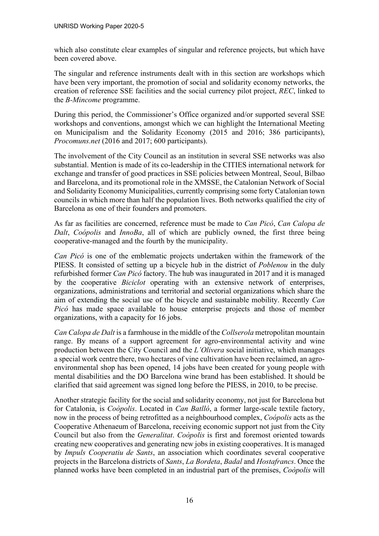which also constitute clear examples of singular and reference projects, but which have been covered above.

The singular and reference instruments dealt with in this section are workshops which have been very important, the promotion of social and solidarity economy networks, the creation of reference SSE facilities and the social currency pilot project, *REC*, linked to the *B-Mincome* programme.

During this period, the Commissioner's Office organized and/or supported several SSE workshops and conventions, amongst which we can highlight the International Meeting on Municipalism and the Solidarity Economy (2015 and 2016; 386 participants), *Procomuns.net* (2016 and 2017; 600 participants).

The involvement of the City Council as an institution in several SSE networks was also substantial. Mention is made of its co-leadership in the CITIES international network for exchange and transfer of good practices in SSE policies between Montreal, Seoul, Bilbao and Barcelona, and its promotional role in the XMSSE, the Catalonian Network of Social and Solidarity Economy Municipalities, currently comprising some forty Catalonian town councils in which more than half the population lives. Both networks qualified the city of Barcelona as one of their founders and promoters.

As far as facilities are concerned, reference must be made to *Can Picó*, *Can Calopa de Dalt*, *Coópolis* and *InnoBa*, all of which are publicly owned, the first three being cooperative-managed and the fourth by the municipality.

*Can Picó* is one of the emblematic projects undertaken within the framework of the PIESS. It consisted of setting up a bicycle hub in the district of *Poblenou* in the duly refurbished former *Can Picó* factory. The hub was inaugurated in 2017 and it is managed by the cooperative *Biciclot* operating with an extensive network of enterprises, organizations, administrations and territorial and sectorial organizations which share the aim of extending the social use of the bicycle and sustainable mobility. Recently *Can Picó* has made space available to house enterprise projects and those of member organizations, with a capacity for 16 jobs.

*Can Calopa de Dalt* is a farmhouse in the middle of the *Collserola* metropolitan mountain range. By means of a support agreement for agro-environmental activity and wine production between the City Council and the *L'Olivera* social initiative, which manages a special work centre there, two hectares of vine cultivation have been reclaimed, an agroenvironmental shop has been opened, 14 jobs have been created for young people with mental disabilities and the DO Barcelona wine brand has been established. It should be clarified that said agreement was signed long before the PIESS, in 2010, to be precise.

Another strategic facility for the social and solidarity economy, not just for Barcelona but for Catalonia, is *Coòpolis*. Located in *Can Batlló*, a former large-scale textile factory, now in the process of being retrofitted as a neighbourhood complex, *Coópolis* acts as the Cooperative Athenaeum of Barcelona, receiving economic support not just from the City Council but also from the *Generalitat*. *Coòpolis* is first and foremost oriented towards creating new cooperatives and generating new jobs in existing cooperatives. It is managed by *Impuls Cooperatiu de Sants*, an association which coordinates several cooperative projects in the Barcelona districts of *Sants*, *La Bordeta*, *Badal* and *Hostafrancs*. Once the planned works have been completed in an industrial part of the premises, *Coòpolis* will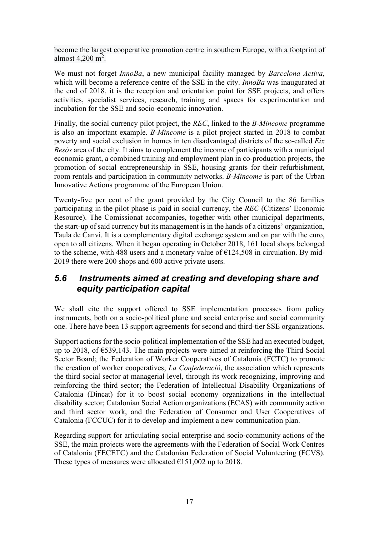become the largest cooperative promotion centre in southern Europe, with a footprint of almost  $4,200 \text{ m}^2$ .

We must not forget *InnoBa*, a new municipal facility managed by *Barcelona Activa*, which will become a reference centre of the SSE in the city. *InnoBa* was inaugurated at the end of 2018, it is the reception and orientation point for SSE projects, and offers activities, specialist services, research, training and spaces for experimentation and incubation for the SSE and socio-economic innovation.

Finally, the social currency pilot project, the *REC*, linked to the *B-Mincome* programme is also an important example. *B-Mincome* is a pilot project started in 2018 to combat poverty and social exclusion in homes in ten disadvantaged districts of the so-called *Eix Besòs* area of the city. It aims to complement the income of participants with a municipal economic grant, a combined training and employment plan in co-production projects, the promotion of social entrepreneurship in SSE, housing grants for their refurbishment, room rentals and participation in community networks. *B-Mincome* is part of the Urban Innovative Actions programme of the European Union.

Twenty-five per cent of the grant provided by the City Council to the 86 families participating in the pilot phase is paid in social currency, the *REC* (Citizens' Economic Resource). The Comissionat accompanies, together with other municipal departments, the start-up of said currency but its management is in the hands of a citizens' organization, Taula de Canvi. It is a complementary digital exchange system and on par with the euro, open to all citizens. When it began operating in October 2018, 161 local shops belonged to the scheme, with 488 users and a monetary value of  $\epsilon$ 124,508 in circulation. By mid-2019 there were 200 shops and 600 active private users.

### <span id="page-21-0"></span>*5.6 Instruments aimed at creating and developing share and equity participation capital*

We shall cite the support offered to SSE implementation processes from policy instruments, both on a socio-political plane and social enterprise and social community one. There have been 13 support agreements for second and third-tier SSE organizations.

Support actions for the socio-political implementation of the SSE had an executed budget, up to 2018, of €539,143. The main projects were aimed at reinforcing the Third Social Sector Board; the Federation of Worker Cooperatives of Catalonia (FCTC) to promote the creation of worker cooperatives; *La Confederació*, the association which represents the third social sector at managerial level, through its work recognizing, improving and reinforcing the third sector; the Federation of Intellectual Disability Organizations of Catalonia (Dincat) for it to boost social economy organizations in the intellectual disability sector; Catalonian Social Action organizations (ECAS) with community action and third sector work, and the Federation of Consumer and User Cooperatives of Catalonia (FCCUC) for it to develop and implement a new communication plan.

Regarding support for articulating social enterprise and socio-community actions of the SSE, the main projects were the agreements with the Federation of Social Work Centres of Catalonia (FECETC) and the Catalonian Federation of Social Volunteering (FCVS). These types of measures were allocated  $\epsilon$ 151,002 up to 2018.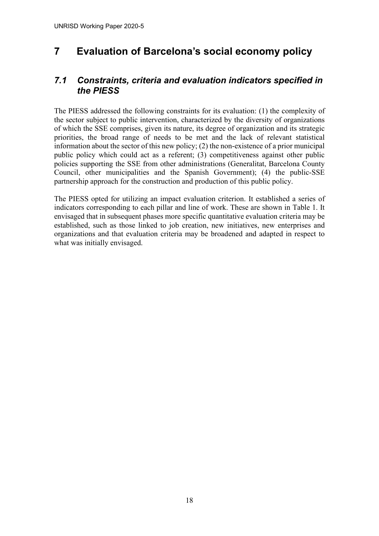# <span id="page-22-0"></span>**7 Evaluation of Barcelona's social economy policy**

### <span id="page-22-1"></span>*7.1 Constraints, criteria and evaluation indicators specified in the PIESS*

The PIESS addressed the following constraints for its evaluation: (1) the complexity of the sector subject to public intervention, characterized by the diversity of organizations of which the SSE comprises, given its nature, its degree of organization and its strategic priorities, the broad range of needs to be met and the lack of relevant statistical information about the sector of this new policy; (2) the non-existence of a prior municipal public policy which could act as a referent; (3) competitiveness against other public policies supporting the SSE from other administrations (Generalitat, Barcelona County Council, other municipalities and the Spanish Government); (4) the public-SSE partnership approach for the construction and production of this public policy.

The PIESS opted for utilizing an impact evaluation criterion. It established a series of indicators corresponding to each pillar and line of work. These are shown in Table 1. It envisaged that in subsequent phases more specific quantitative evaluation criteria may be established, such as those linked to job creation, new initiatives, new enterprises and organizations and that evaluation criteria may be broadened and adapted in respect to what was initially envisaged.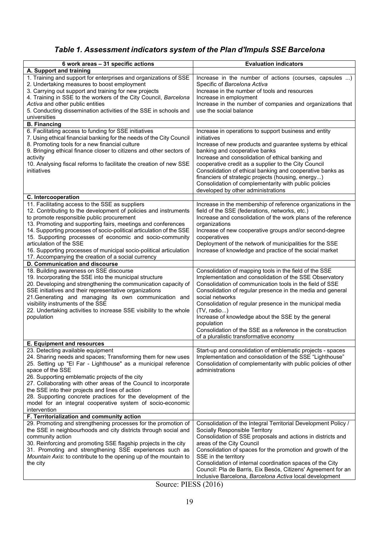# <span id="page-23-0"></span>*Table 1. Assessment indicators system of the Plan d'Impuls SSE Barcelona*

| 6 work areas - 31 specific actions                                                                                                | <b>Evaluation indicators</b>                                                                                               |
|-----------------------------------------------------------------------------------------------------------------------------------|----------------------------------------------------------------------------------------------------------------------------|
| A. Support and training<br>1. Training and support for enterprises and organizations of SSE                                       | Increase in the number of actions (courses, capsules )                                                                     |
| 2. Undertaking measures to boost employment                                                                                       | Specific of Barcelona Activa                                                                                               |
| 3. Carrying out support and training for new projects                                                                             | Increase in the number of tools and resources                                                                              |
| 4. Training in SSE to the workers of the City Council, Barcelona                                                                  | Increase in employment                                                                                                     |
| Activa and other public entities                                                                                                  | Increase in the number of companies and organizations that                                                                 |
| 5. Conducting dissemination activities of the SSE in schools and                                                                  | use the social balance                                                                                                     |
| universities                                                                                                                      |                                                                                                                            |
| <b>B.</b> Financing                                                                                                               |                                                                                                                            |
| 6. Facilitating access to funding for SSE initiatives                                                                             | Increase in operations to support business and entity<br>initiatives                                                       |
| 7. Using ethical financial banking for the needs of the City Council<br>8. Promoting tools for a new financial culture            | Increase of new products and guarantee systems by ethical                                                                  |
| 9. Bringing ethical finance closer to citizens and other sectors of                                                               | banking and cooperative banks                                                                                              |
| activity                                                                                                                          | Increase and consolidation of ethical banking and                                                                          |
| 10. Analysing fiscal reforms to facilitate the creation of new SSE                                                                | cooperative credit as a supplier to the City Council                                                                       |
| initiatives                                                                                                                       | Consolidation of ethical banking and cooperative banks as                                                                  |
|                                                                                                                                   | financiers of strategic projects (housing, energy)                                                                         |
|                                                                                                                                   | Consolidation of complementarity with public policies                                                                      |
|                                                                                                                                   | developed by other administrations                                                                                         |
| C. Intercooperation                                                                                                               |                                                                                                                            |
| 11. Facilitating access to the SSE as suppliers                                                                                   | Increase in the membership of reference organizations in the                                                               |
| 12. Contributing to the development of policies and instruments<br>to promote responsible public procurement                      | field of the SSE (federations, networks, etc.)<br>Increase and consolidation of the work plans of the reference            |
| 13. Promoting and supporting fairs, meetings and conferences                                                                      | organizations                                                                                                              |
| 14. Supporting processes of socio-political articulation of the SSE                                                               | Increase of new cooperative groups and/or second-degree                                                                    |
| 15. Supporting processes of economic and socio-community                                                                          | cooperatives                                                                                                               |
| articulation of the SSE                                                                                                           | Deployment of the network of municipalities for the SSE                                                                    |
| 16. Supporting processes of municipal socio-political articulation                                                                | Increase of knowledge and practice of the social market                                                                    |
| 17. Accompanying the creation of a social currency                                                                                |                                                                                                                            |
| D. Communication and discourse                                                                                                    |                                                                                                                            |
| 18. Building awareness on SSE discourse                                                                                           | Consolidation of mapping tools in the field of the SSE                                                                     |
| 19. Incorporating the SSE into the municipal structure                                                                            | Implementation and consolidation of the SSE Observatory                                                                    |
| 20. Developing and strengthening the communication capacity of<br>SSE initiatives and their representative organizations          | Consolidation of communication tools in the field of SSE<br>Consolidation of regular presence in the media and general     |
| 21. Generating and managing its own communication and                                                                             | social networks                                                                                                            |
| visibility instruments of the SSE                                                                                                 | Consolidation of regular presence in the municipal media                                                                   |
| 22. Undertaking activities to increase SSE visibility to the whole                                                                | (TV, radio)                                                                                                                |
| population                                                                                                                        | Increase of knowledge about the SSE by the general                                                                         |
|                                                                                                                                   | population                                                                                                                 |
|                                                                                                                                   | Consolidation of the SSE as a reference in the construction                                                                |
|                                                                                                                                   | of a pluralistic transformative economy                                                                                    |
| <b>E. Equipment and resources</b>                                                                                                 |                                                                                                                            |
| 23. Detecting available equipment                                                                                                 | Start-up and consolidation of emblematic projects - spaces                                                                 |
| 24. Sharing needs and spaces; Transforming them for new uses<br>25. Setting up "El Far - Lighthouse" as a municipal reference     | Implementation and consolidation of the SSE "Lighthouse"<br>Consolidation of complementarity with public policies of other |
| space of the SSE                                                                                                                  | administrations                                                                                                            |
| 26. Supporting emblematic projects of the city                                                                                    |                                                                                                                            |
| 27. Collaborating with other areas of the Council to incorporate                                                                  |                                                                                                                            |
| the SSE into their projects and lines of action                                                                                   |                                                                                                                            |
| 28. Supporting concrete practices for the development of the                                                                      |                                                                                                                            |
| model for an integral cooperative system of socio-economic                                                                        |                                                                                                                            |
| intervention                                                                                                                      |                                                                                                                            |
| F. Territorialization and community action                                                                                        |                                                                                                                            |
| 29. Promoting and strengthening processes for the promotion of<br>the SSE in neighbourhoods and city districts through social and | Consolidation of the Integral Territorial Development Policy /<br>Socially Responsible Territory                           |
| community action                                                                                                                  | Consolidation of SSE proposals and actions in districts and                                                                |
| 30. Reinforcing and promoting SSE flagship projects in the city                                                                   | areas of the City Council                                                                                                  |
| 31. Promoting and strengthening SSE experiences such as                                                                           | Consolidation of spaces for the promotion and growth of the                                                                |
| Mountain Axis: to contribute to the opening up of the mountain to                                                                 | SSE in the territory                                                                                                       |
| the city                                                                                                                          | Consolidation of internal coordination spaces of the City                                                                  |
|                                                                                                                                   | Council: Pla de Barris, Eix Besós, Citizens' Agreement for an                                                              |
|                                                                                                                                   | Inclusive Barcelona, Barcelona Activa local development                                                                    |

Source: PIESS (2016)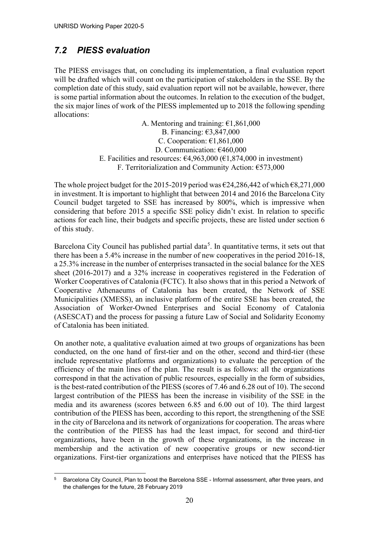# <span id="page-24-0"></span>*7.2 PIESS evaluation*

The PIESS envisages that, on concluding its implementation, a final evaluation report will be drafted which will count on the participation of stakeholders in the SSE. By the completion date of this study, said evaluation report will not be available, however, there is some partial information about the outcomes. In relation to the execution of the budget, the six major lines of work of the PIESS implemented up to 2018 the following spending allocations:

> A. Mentoring and training:  $\epsilon$ 1,861,000 B. Financing: €3,847,000 C. Cooperation:  $\epsilon$ 1,861,000 D. Communication: €460,000 E. Facilities and resources:  $\epsilon$ 4,963,000 ( $\epsilon$ 1,874,000 in investment) F. Territorialization and Community Action: €573,000

The whole project budget for the 2015-2019 period was  $\epsilon$ 24,286,442 of which  $\epsilon$ 8,271,000 in investment. It is important to highlight that between 2014 and 2016 the Barcelona City Council budget targeted to SSE has increased by 800%, which is impressive when considering that before 2015 a specific SSE policy didn't exist. In relation to specific actions for each line, their budgets and specific projects, these are listed under section 6 of this study.

Barcelona City Council has published partial data<sup>[5](#page-24-1)</sup>. In quantitative terms, it sets out that there has been a 5.4% increase in the number of new cooperatives in the period 2016-18, a 25.3% increase in the number of enterprises transacted in the social balance for the XES sheet (2016-2017) and a 32% increase in cooperatives registered in the Federation of Worker Cooperatives of Catalonia (FCTC). It also shows that in this period a Network of Cooperative Athenaeums of Catalonia has been created, the Network of SSE Municipalities (XMESS), an inclusive platform of the entire SSE has been created, the Association of Worker-Owned Enterprises and Social Economy of Catalonia (ASESCAT) and the process for passing a future Law of Social and Solidarity Economy of Catalonia has been initiated.

On another note, a qualitative evaluation aimed at two groups of organizations has been conducted, on the one hand of first-tier and on the other, second and third-tier (these include representative platforms and organizations) to evaluate the perception of the efficiency of the main lines of the plan. The result is as follows: all the organizations correspond in that the activation of public resources, especially in the form of subsidies, is the best-rated contribution of the PIESS (scores of 7.46 and 6.28 out of 10). The second largest contribution of the PIESS has been the increase in visibility of the SSE in the media and its awareness (scores between 6.85 and 6.00 out of 10). The third largest contribution of the PIESS has been, according to this report, the strengthening of the SSE in the city of Barcelona and its network of organizations for cooperation. The areas where the contribution of the PIESS has had the least impact, for second and third-tier organizations, have been in the growth of these organizations, in the increase in membership and the activation of new cooperative groups or new second-tier organizations. First-tier organizations and enterprises have noticed that the PIESS has

<span id="page-24-1"></span><sup>5</sup> Barcelona City Council, Plan to boost the Barcelona SSE - Informal assessment, after three years, and the challenges for the future, 28 February 2019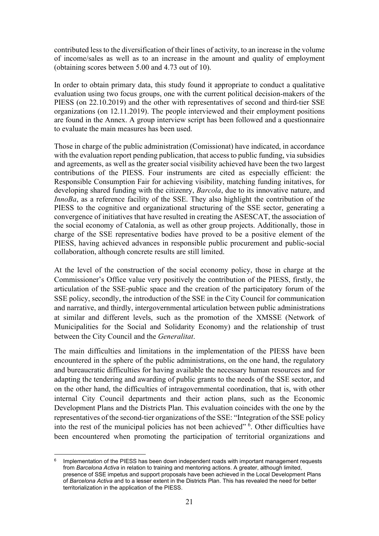contributed less to the diversification of their lines of activity, to an increase in the volume of income/sales as well as to an increase in the amount and quality of employment (obtaining scores between 5.00 and 4.73 out of 10).

In order to obtain primary data, this study found it appropriate to conduct a qualitative evaluation using two focus groups, one with the current political decision-makers of the PIESS (on 22.10.2019) and the other with representatives of second and third-tier SSE organizations (on 12.11.2019). The people interviewed and their employment positions are found in the Annex. A group interview script has been followed and a questionnaire to evaluate the main measures has been used.

Those in charge of the public administration (Comissionat) have indicated, in accordance with the evaluation report pending publication, that access to public funding, via subsidies and agreements, as well as the greater social visibility achieved have been the two largest contributions of the PIESS. Four instruments are cited as especially efficient: the Responsible Consumption Fair for achieving visibility, matching funding initatives, for developing shared funding with the citizenry, *Barcola*, due to its innovative nature, and *InnoBa*, as a reference facility of the SSE. They also highlight the contribution of the PIESS to the cognitive and organizational structuring of the SSE sector, generating a convergence of initiatives that have resulted in creating the ASESCAT, the association of the social economy of Catalonia, as well as other group projects. Additionally, those in charge of the SSE representative bodies have proved to be a positive element of the PIESS, having achieved advances in responsible public procurement and public-social collaboration, although concrete results are still limited.

At the level of the construction of the social economy policy, those in charge at the Commissioner's Office value very positively the contribution of the PIESS, firstly, the articulation of the SSE-public space and the creation of the participatory forum of the SSE policy, secondly, the introduction of the SSE in the City Council for communication and narrative, and thirdly, intergovernmental articulation between public administrations at similar and different levels, such as the promotion of the XMSSE (Network of Municipalities for the Social and Solidarity Economy) and the relationship of trust between the City Council and the *Generalitat*.

The main difficulties and limitations in the implementation of the PIESS have been encountered in the sphere of the public administrations, on the one hand, the regulatory and bureaucratic difficulties for having available the necessary human resources and for adapting the tendering and awarding of public grants to the needs of the SSE sector, and on the other hand, the difficulties of intragovernmental coordination, that is, with other internal City Council departments and their action plans, such as the Economic Development Plans and the Districts Plan. This evaluation coincides with the one by the representatives of the second-tier organizations of the SSE: "Integration of the SSE policy into the rest of the municipal policies has not been achieved" <sup>[6](#page-25-0)</sup>. Other difficulties have been encountered when promoting the participation of territorial organizations and

<span id="page-25-0"></span><sup>&</sup>lt;sup>6</sup> Implementation of the PIESS has been down independent roads with important management requests from *Barcelona Activa* in relation to training and mentoring actions. A greater, although limited, presence of SSE impetus and support proposals have been achieved in the Local Development Plans of *Barcelona Activa* and to a lesser extent in the Districts Plan. This has revealed the need for better territorialization in the application of the PIESS.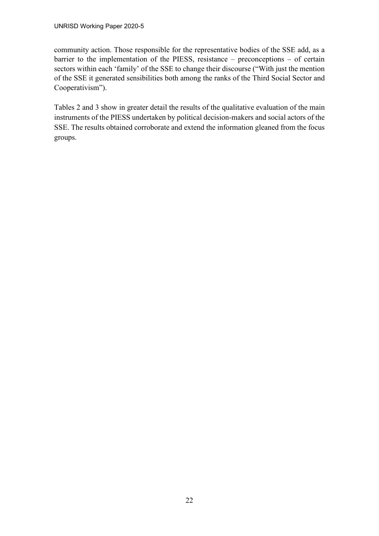community action. Those responsible for the representative bodies of the SSE add, as a barrier to the implementation of the PIESS, resistance – preconceptions – of certain sectors within each 'family' of the SSE to change their discourse ("With just the mention of the SSE it generated sensibilities both among the ranks of the Third Social Sector and Cooperativism").

Tables 2 and 3 show in greater detail the results of the qualitative evaluation of the main instruments of the PIESS undertaken by political decision-makers and social actors of the SSE. The results obtained corroborate and extend the information gleaned from the focus groups.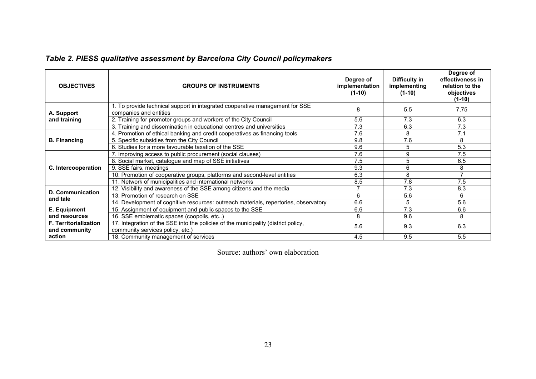|  |  | Table 2. PIESS qualitative assessment by Barcelona City Council policymakers |  |  |  |
|--|--|------------------------------------------------------------------------------|--|--|--|
|--|--|------------------------------------------------------------------------------|--|--|--|

<span id="page-27-0"></span>

| <b>OBJECTIVES</b>            | <b>GROUPS OF INSTRUMENTS</b>                                                                           | Degree of<br>implementation<br>$(1-10)$ | Difficulty in<br>implementing<br>$(1-10)$ | Degree of<br>effectiveness in<br>relation to the<br>objectives<br>$(1-10)$ |
|------------------------------|--------------------------------------------------------------------------------------------------------|-----------------------------------------|-------------------------------------------|----------------------------------------------------------------------------|
| A. Support                   | 1. To provide technical support in integrated cooperative management for SSE<br>companies and entities | 8                                       | 5.5                                       | 7,75                                                                       |
| and training                 | 2. Training for promoter groups and workers of the City Council                                        | 5.6                                     | 7.3                                       | 6.3                                                                        |
|                              | 3. Training and dissemination in educational centres and universities                                  | 7.3                                     | 6.3                                       | 7.3                                                                        |
|                              | 4. Promotion of ethical banking and credit cooperatives as financing tools                             | 7.6                                     | 8                                         | 7.1                                                                        |
| <b>B.</b> Financing          | 5. Specific subsidies from the City Council                                                            | 9.8                                     | 7.6                                       | 8                                                                          |
|                              | 6. Studies for a more favourable taxation of the SSE                                                   | 9.6                                     | 5                                         | 5.3                                                                        |
|                              | 7. Improving access to public procurement (social clauses)                                             | 7.6                                     | 9                                         | 7.5                                                                        |
|                              | 8. Social market, catalogue and map of SSE initiatives                                                 | 7.5                                     | 5                                         | 6.5                                                                        |
| C. Intercooperation          | 9. SSE fairs, meetings                                                                                 | 9.3                                     | 6                                         | 8                                                                          |
|                              | 10. Promotion of cooperative groups, platforms and second-level entities                               | 6.3                                     | 8                                         |                                                                            |
|                              | 11. Network of municipalities and international networks                                               | 8.5                                     | 7.8                                       | 7.5                                                                        |
|                              | 12. Visibility and awareness of the SSE among citizens and the media                                   |                                         | 7.3                                       | 8.3                                                                        |
| D. Communication<br>and tale | 13. Promotion of research on SSE                                                                       | 6                                       | 5.6                                       | 6                                                                          |
|                              | 14. Development of cognitive resources: outreach materials, repertories, observatory                   | 6.6                                     | 5                                         | 5.6                                                                        |
| E. Equipment                 | 15. Assignment of equipment and public spaces to the SSE                                               | 6.6                                     | 7.3                                       | 6.6                                                                        |
| and resources                | 16. SSE emblematic spaces (coopolis, etc)                                                              | 8                                       | 9.6                                       | 8                                                                          |
| <b>F. Territorialization</b> | 17. Integration of the SSE into the policies of the municipality (district policy,                     | 5.6                                     | 9.3                                       | 6.3                                                                        |
| and community<br>action      | community services policy, etc.)<br>18. Community management of services                               | 4.5                                     | 9.5                                       | 5.5                                                                        |

Source: authors' own elaboration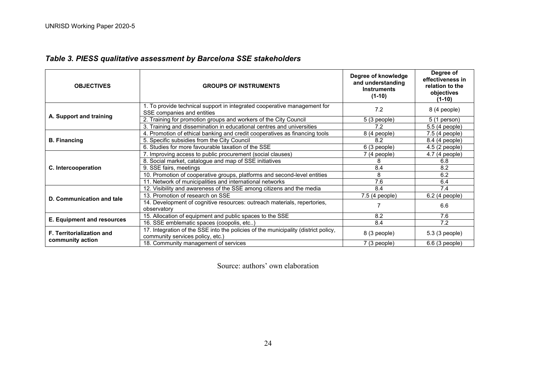<span id="page-28-0"></span>

| <b>OBJECTIVES</b>                | <b>GROUPS OF INSTRUMENTS</b>                                                                                           | Degree of knowledge<br>and understanding<br><b>Instruments</b><br>$(1-10)$ | Degree of<br>effectiveness in<br>relation to the<br>objectives<br>(1-10) |
|----------------------------------|------------------------------------------------------------------------------------------------------------------------|----------------------------------------------------------------------------|--------------------------------------------------------------------------|
|                                  | 1. To provide technical support in integrated cooperative management for<br>SSE companies and entities                 | 7.2                                                                        | 8 (4 people)                                                             |
| A. Support and training          | 2. Training for promotion groups and workers of the City Council                                                       | $5(3$ people)                                                              | $5(1)$ person)                                                           |
|                                  | 3. Training and dissemination in educational centres and universities                                                  | 7.2                                                                        | 5.5 (4 people)                                                           |
|                                  | 4. Promotion of ethical banking and credit cooperatives as financing tools                                             | 8 (4 people)                                                               | $7.5(4$ people)                                                          |
| <b>B.</b> Financing              | 5. Specific subsidies from the City Council                                                                            | 8.2                                                                        | 8.4 (4 people)                                                           |
|                                  | 6. Studies for more favourable taxation of the SSE                                                                     | 6(3 people)                                                                | 4.5 (2 people)                                                           |
|                                  | 7. Improving access to public procurement (social clauses)                                                             | 7 (4 people)                                                               | 4.7 (4 people)                                                           |
|                                  | 8. Social market, catalogue and map of SSE initiatives                                                                 |                                                                            | 6.8                                                                      |
| C. Intercooperation              | 9. SSE fairs, meetings                                                                                                 | 8.4                                                                        | 8.2                                                                      |
|                                  | 10. Promotion of cooperative groups, platforms and second-level entities                                               | 8                                                                          | 6.2                                                                      |
|                                  | 11. Network of municipalities and international networks                                                               | 7.6                                                                        | 6.4                                                                      |
|                                  | 12. Visibility and awareness of the SSE among citizens and the media                                                   | 8.4                                                                        | 7.4                                                                      |
| D. Communication and tale        | 13. Promotion of research on SSE                                                                                       | 7.5 (4 people)                                                             | 6.2 (4 people)                                                           |
|                                  | 14. Development of cognitive resources: outreach materials, repertories,<br>observatory                                |                                                                            | 6.6                                                                      |
|                                  | 15. Allocation of equipment and public spaces to the SSE                                                               | 8.2                                                                        | 7.6                                                                      |
| E. Equipment and resources       | 16. SSE emblematic spaces (coopolis, etc)                                                                              | 8.4                                                                        | 7.2                                                                      |
| <b>F. Territorialization and</b> | 17. Integration of the SSE into the policies of the municipality (district policy,<br>community services policy, etc.) | 8 (3 people)                                                               | 5.3 (3 people)                                                           |
| community action                 | 18. Community management of services                                                                                   | $7(3$ people)                                                              | 6.6 (3 people)                                                           |

# *Table 3. PIESS qualitative assessment by Barcelona SSE stakeholders*

Source: authors' own elaboration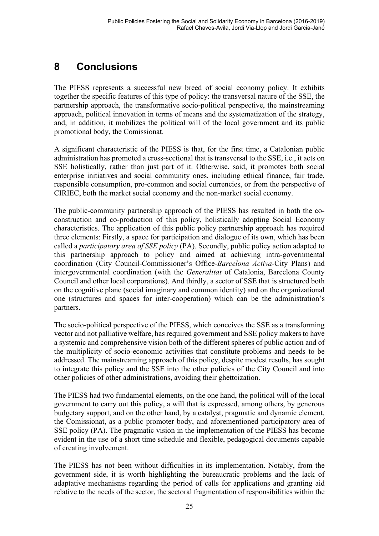# <span id="page-29-0"></span>**8 Conclusions**

The PIESS represents a successful new breed of social economy policy. It exhibits together the specific features of this type of policy: the transversal nature of the SSE, the partnership approach, the transformative socio-political perspective, the mainstreaming approach, political innovation in terms of means and the systematization of the strategy, and, in addition, it mobilizes the political will of the local government and its public promotional body, the Comissionat.

A significant characteristic of the PIESS is that, for the first time, a Catalonian public administration has promoted a cross-sectional that is transversal to the SSE, i.e., it acts on SSE holistically, rather than just part of it. Otherwise. said, it promotes both social enterprise initiatives and social community ones, including ethical finance, fair trade, responsible consumption, pro-common and social currencies, or from the perspective of CIRIEC, both the market social economy and the non-market social economy.

The public-community partnership approach of the PIESS has resulted in both the coconstruction and co-production of this policy, holistically adopting Social Economy characteristics. The application of this public policy partnership approach has required three elements: Firstly, a space for participation and dialogue of its own, which has been called a *participatory area of SSE policy* (PA). Secondly, public policy action adapted to this partnership approach to policy and aimed at achieving intra-governmental coordination (City Council-Commissioner's Office-*Barcelona Activa*-City Plans) and intergovernmental coordination (with the *Generalitat* of Catalonia, Barcelona County Council and other local corporations). And thirdly, a sector of SSE that is structured both on the cognitive plane (social imaginary and common identity) and on the organizational one (structures and spaces for inter-cooperation) which can be the administration's partners.

The socio-political perspective of the PIESS, which conceives the SSE as a transforming vector and not palliative welfare, has required government and SSE policy makers to have a systemic and comprehensive vision both of the different spheres of public action and of the multiplicity of socio-economic activities that constitute problems and needs to be addressed. The mainstreaming approach of this policy, despite modest results, has sought to integrate this policy and the SSE into the other policies of the City Council and into other policies of other administrations, avoiding their ghettoization.

The PIESS had two fundamental elements, on the one hand, the political will of the local government to carry out this policy, a will that is expressed, among others, by generous budgetary support, and on the other hand, by a catalyst, pragmatic and dynamic element, the Comissionat, as a public promoter body, and aforementioned participatory area of SSE policy (PA). The pragmatic vision in the implementation of the PIESS has become evident in the use of a short time schedule and flexible, pedagogical documents capable of creating involvement.

The PIESS has not been without difficulties in its implementation. Notably, from the government side, it is worth highlighting the bureaucratic problems and the lack of adaptative mechanisms regarding the period of calls for applications and granting aid relative to the needs of the sector, the sectoral fragmentation of responsibilities within the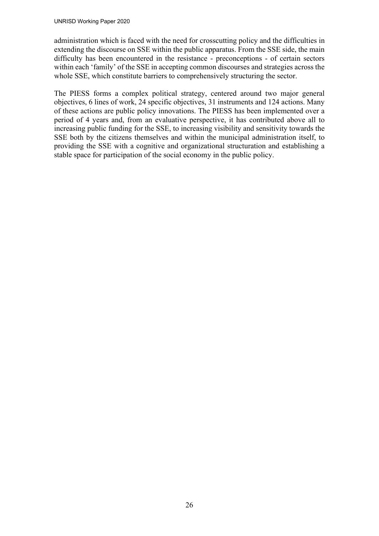administration which is faced with the need for crosscutting policy and the difficulties in extending the discourse on SSE within the public apparatus. From the SSE side, the main difficulty has been encountered in the resistance - preconceptions - of certain sectors within each 'family' of the SSE in accepting common discourses and strategies across the whole SSE, which constitute barriers to comprehensively structuring the sector.

The PIESS forms a complex political strategy, centered around two major general objectives, 6 lines of work, 24 specific objectives, 31 instruments and 124 actions. Many of these actions are public policy innovations. The PIESS has been implemented over a period of 4 years and, from an evaluative perspective, it has contributed above all to increasing public funding for the SSE, to increasing visibility and sensitivity towards the SSE both by the citizens themselves and within the municipal administration itself, to providing the SSE with a cognitive and organizational structuration and establishing a stable space for participation of the social economy in the public policy.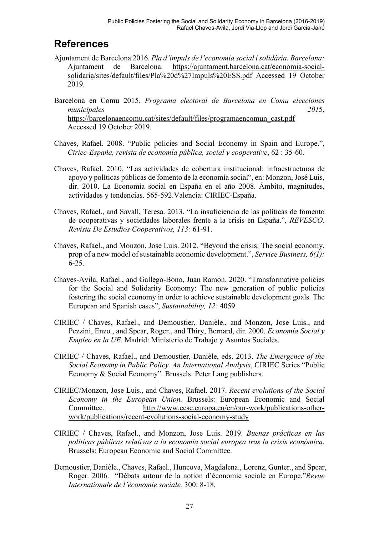# <span id="page-31-0"></span>**References**

- Ajuntament de Barcelona 2016. *Pla d'impuls de l'economia social i solidària. Barcelona:* Ajuntament de Barcelona. [https://ajuntament.barcelona.cat/economia-social](https://ajuntament.barcelona.cat/economia-social-solidaria/sites/default/files/Pla%20d%27Impuls%20ESS.pdf)[solidaria/sites/default/files/Pla%20d%27Impuls%20ESS.pdf](https://ajuntament.barcelona.cat/economia-social-solidaria/sites/default/files/Pla%20d%27Impuls%20ESS.pdf) Accessed 19 October 2019.
- Barcelona en Comu 2015. *Programa electoral de Barcelona en Comu elecciones municipales 201*5, [https://barcelonaencomu.cat/sites/default/files/programaencomun\\_cast.pdf](https://barcelonaencomu.cat/sites/default/files/programaencomun_cast.pdf) Accessed 19 October 2019.
- Chaves, Rafael. 2008. "Public policies and Social Economy in Spain and Europe.", *Ciriec-España, revista de economía pública, social y cooperative*, 62 : 35-60.
- Chaves, Rafael. 2010. "Las actividades de cobertura institucional: infraestructuras de apoyo y políticas públicas de fomento de la economía social", en: Monzon, José Luis, dir. 2010. La Economía social en España en el año 2008. Ámbito, magnitudes, actividades y tendencias. 565-592.Valencia: CIRIEC-España.
- Chaves, Rafael., and Savall, Teresa. 2013. "La insuficiencia de las políticas de fomento de cooperativas y sociedades laborales frente a la crisis en España.", *REVESCO, Revista De Estudios Cooperativos, 113:* 61-91.
- Chaves, Rafael., and Monzon, Jose Luis. 2012. "Beyond the crisis: The social economy, prop of a new model of sustainable economic development.", *Service Business, 6(1):* 6-25.
- Chaves-Avila, Rafael., and Gallego-Bono, Juan Ramón. 2020. "Transformative policies for the Social and Solidarity Economy: The new generation of public policies fostering the social economy in order to achieve sustainable development goals. The European and Spanish cases", *Sustainability, 12:* 4059.
- CIRIEC / Chaves, Rafael., and Demoustier, Danièle., and Monzon, Jose Luis., and Pezzini, Enzo., and Spear, Roger., and Thiry, Bernard, dir. 2000. *Economía Social y Empleo en la UE.* Madrid: Ministerio de Trabajo y Asuntos Sociales.
- CIRIEC / Chaves, Rafael., and Demoustier, Danièle, eds. 2013. *The Emergence of the Social Economy in Public Policy. An International Analysis*, CIRIEC Series "Public Economy & Social Economy". Brussels: Peter Lang publishers.
- CIRIEC/Monzon, Jose Luis., and Chaves, Rafael. 2017. *Recent evolutions of the Social Economy in the European Union.* Brussels: European Economic and Social Committee. [http://www.eesc.europa.eu/en/our-work/publications-other](http://www.eesc.europa.eu/en/our-work/publications-other-work/publications/recent-evolutions-social-economy-study)[work/publications/recent-evolutions-social-economy-study](http://www.eesc.europa.eu/en/our-work/publications-other-work/publications/recent-evolutions-social-economy-study)
- CIRIEC / Chaves, Rafael., and Monzon, Jose Luis. 2019. *Buenas prácticas en las políticas públicas relativas a la economía social europea tras la crisis económica.*  Brussels: European Economic and Social Committee.
- Demoustier, Danièle., Chaves, Rafael., Huncova, Magdalena., Lorenz, Gunter., and Spear, Roger. 2006. "Débats autour de la notion d'économie sociale en Europe."*Revue Internationale de l'économie sociale,* 300: 8-18.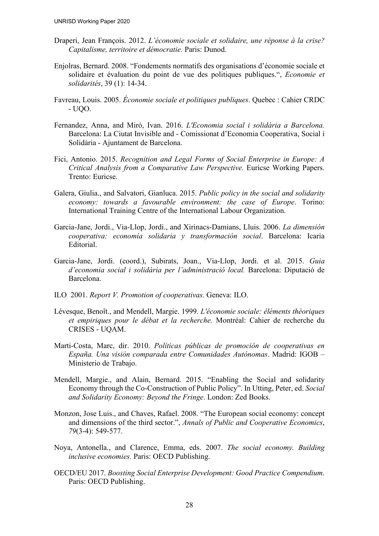- Draperi, Jean François. 2012. *L'économie sociale et solidaire, une réponse à la crise? Capitalisme, territoire et démocratie.* Paris: Dunod.
- Enjolras, Bernard. 2008. "Fondements normatifs des organisations d'économie sociale et solidaire et évaluation du point de vue des politiques publiques.", *Economie et solidarités*, 39 (1): 14-34.
- Favreau, Louis. 2005. *Économie sociale et politiques publiques*. Quebec : Cahier CRDC - UQO.
- Fernandez, Anna, and Miró, Ivan. 2016. *L'Economia social i solidària a Barcelona.*  Barcelona: La Ciutat Invisible and - Comissionat d'Economia Cooperativa, Social i Solidària - Ajuntament de Barcelona.
- Fici, Antonio. 2015. *Recognition and Legal Forms of Social Enterprise in Europe: A Critical Analysis from a Comparative Law Perspective.* Euricse Working Papers. Trento: Euricse.
- Galera, Giulia., and Salvatori, Gianluca. 2015. *Public policy in the social and solidarity economy: towards a favourable environment: the case of Europe*. Torino: International Training Centre of the International Labour Organization.
- Garcia-Jane, Jordi., Via-Llop, Jordi., and Xirinacs-Damians, Lluis. 2006. *La dimensión cooperativa: economía solidaria y transformación social*. Barcelona: Icaria Editorial.
- Garcia-Jane, Jordi. (coord.), Subirats, Joan., Via-Llop, Jordi. et al. 2015. *Guia d'economia social i solidària per l'administració local.* Barcelona: Diputació de Barcelona.
- ILO 2001. *Report V. Promotion of cooperativas.* Geneva: ILO.
- Lévesque, Benoît., and Mendell, Margie. 1999. *L'économie sociale: éléments théoriques et empiriques pour le débat et la recherche.* Montréal: Cahier de recherche du CRISES - UQAM.
- Marti-Costa, Marc, dir. 2010. *Políticas públicas de promoción de cooperativas en España. Una visión comparada entre Comunidades Autónomas*. Madrid: IGOB – Ministerio de Trabajo.
- Mendell, Margie., and Alain, Bernard. 2015. "Enabling the Social and solidarity Economy through the Co-Construction of Public Policy". In Utting, Peter, ed. *Social and Solidarity Economy: Beyond the Fringe*. London: Zed Books.
- Monzon, Jose Luis., and Chaves, Rafael. 2008. "The European social economy: concept and dimensions of the third sector.", *Annals of Public and Cooperative Economics*, *79*(3‐4): 549-577.
- Noya, Antonella., and Clarence, Emma, eds. 2007. *The social economy. Building inclusive economies.* Paris: OECD Publishing.
- OECD/EU 2017. *Boosting Social Enterprise Development: Good Practice Compendium*. Paris: OECD Publishing.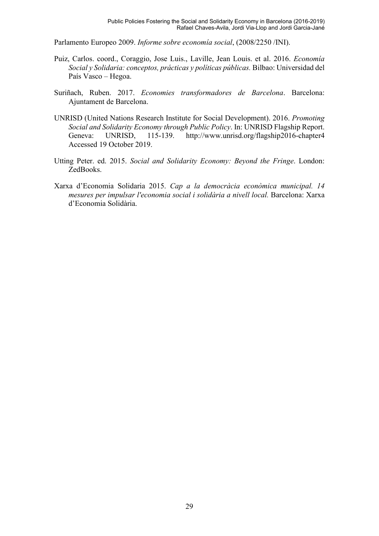Parlamento Europeo 2009. *Informe sobre economía social*, (2008/2250 /INI).

- Puiz, Carlos. coord., Coraggio, Jose Luis., Laville, Jean Louis. et al. 2016. *Economía Social y Solidaria: conceptos, prácticas y políticas públicas.* Bilbao: Universidad del País Vasco – Hegoa.
- Suriñach, Ruben. 2017. *Economies transformadores de Barcelona*. Barcelona: Ajuntament de Barcelona.
- UNRISD (United Nations Research Institute for Social Development). 2016. *Promoting Social and Solidarity Economy through Public Policy*. In: UNRISD Flagship Report. Geneva: UNRISD, 115-139. http://www.unrisd.org/flagship2016-chapter4 Accessed 19 October 2019.
- Utting Peter. ed. 2015. *Social and Solidarity Economy: Beyond the Fringe*. London: ZedBooks.
- Xarxa d'Economia Solidaria 2015. *Cap a la democràcia econòmica municipal. 14 mesures per impulsar l'economia social i solidària a nivell local.* Barcelona: Xarxa d'Economia Solidària.